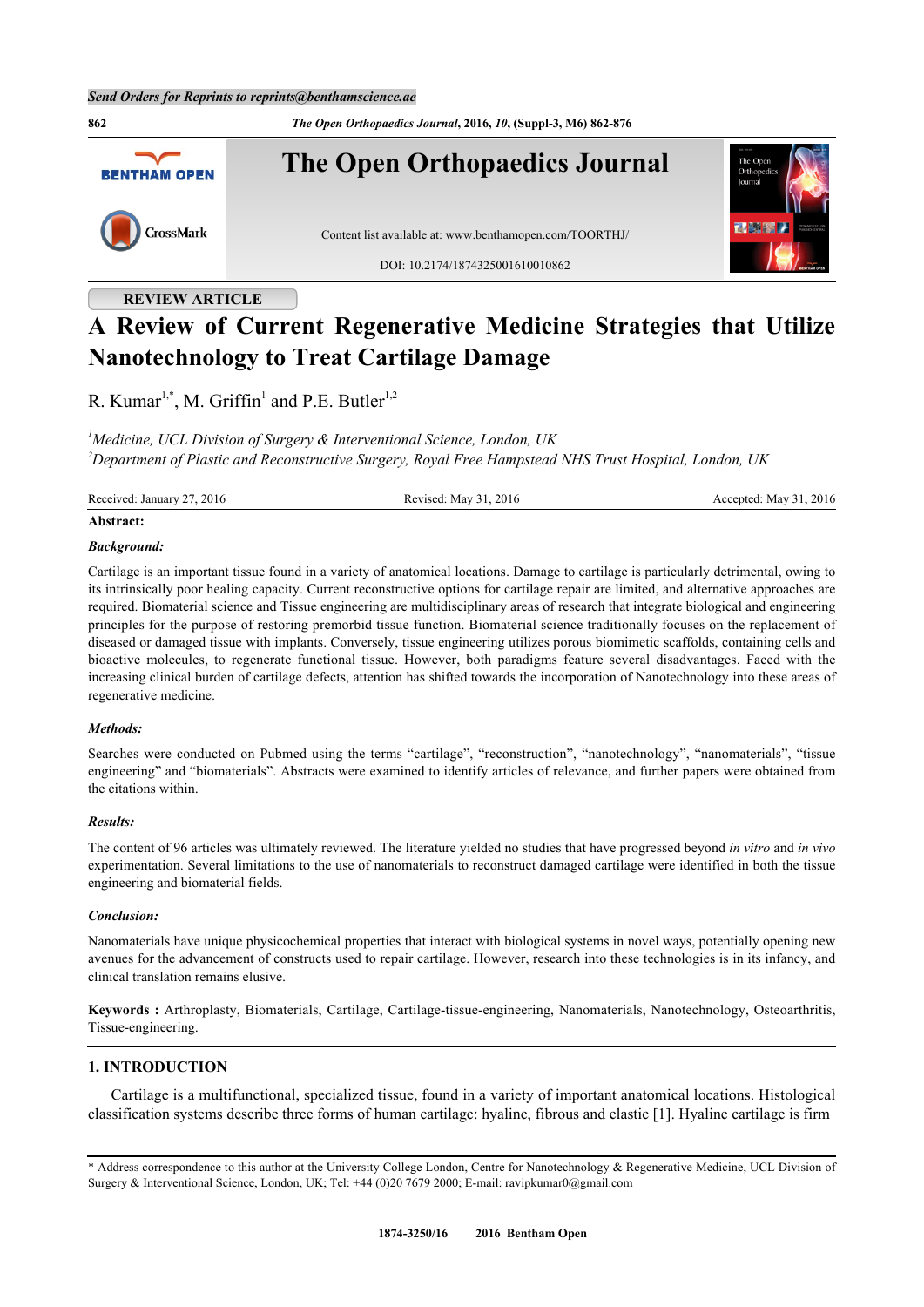

## **REVIEW ARTICLE**

# **A Review of Current Regenerative Medicine Strategies that Utilize Nanotechnology to Treat Cartilage Damage**

R. Kumar<sup>[1](#page-0-0),[\\*](#page-0-1)</sup>, M. Griffin<sup>1</sup> and P.E. Butler<sup>1,[2](#page-0-2)</sup>

<span id="page-0-2"></span><span id="page-0-0"></span>*<sup>1</sup>Medicine, UCL Division of Surgery & Interventional Science, London, UK <sup>2</sup>Department of Plastic and Reconstructive Surgery, Royal Free Hampstead NHS Trust Hospital, London, UK*

Received: January 27, 2016 Revised: May 31, 2016 Revised: May 31, 2016 Accepted: May 31, 2016

#### **Abstract:**

#### *Background:*

Cartilage is an important tissue found in a variety of anatomical locations. Damage to cartilage is particularly detrimental, owing to its intrinsically poor healing capacity. Current reconstructive options for cartilage repair are limited, and alternative approaches are required. Biomaterial science and Tissue engineering are multidisciplinary areas of research that integrate biological and engineering principles for the purpose of restoring premorbid tissue function. Biomaterial science traditionally focuses on the replacement of diseased or damaged tissue with implants. Conversely, tissue engineering utilizes porous biomimetic scaffolds, containing cells and bioactive molecules, to regenerate functional tissue. However, both paradigms feature several disadvantages. Faced with the increasing clinical burden of cartilage defects, attention has shifted towards the incorporation of Nanotechnology into these areas of regenerative medicine.

#### *Methods:*

Searches were conducted on Pubmed using the terms "cartilage", "reconstruction", "nanotechnology", "nanomaterials", "tissue engineering" and "biomaterials". Abstracts were examined to identify articles of relevance, and further papers were obtained from the citations within.

#### *Results:*

The content of 96 articles was ultimately reviewed. The literature yielded no studies that have progressed beyond *in vitro* and *in vivo* experimentation. Several limitations to the use of nanomaterials to reconstruct damaged cartilage were identified in both the tissue engineering and biomaterial fields.

#### *Conclusion:*

Nanomaterials have unique physicochemical properties that interact with biological systems in novel ways, potentially opening new avenues for the advancement of constructs used to repair cartilage. However, research into these technologies is in its infancy, and clinical translation remains elusive.

**Keywords :** Arthroplasty, Biomaterials, Cartilage, Cartilage-tissue-engineering, Nanomaterials, Nanotechnology, Osteoarthritis, Tissue-engineering.

### **1. INTRODUCTION**

Cartilage is a multifunctional, specialized tissue, found in a variety of important anatomical locations. Histological classification systems describe three forms of human cartilage: hyaline, fibrous and elastic [\[1](#page-10-0)]. Hyaline cartilage is firm

<span id="page-0-1"></span><sup>\*</sup> Address correspondence to this author at the University College London, Centre for Nanotechnology & Regenerative Medicine, UCL Division of Surgery & Interventional Science, London, UK; Tel: +44 (0)20 7679 2000; E-mail: [ravipkumar0@gmail.com](mailto:ravipkumar0@gmail.com)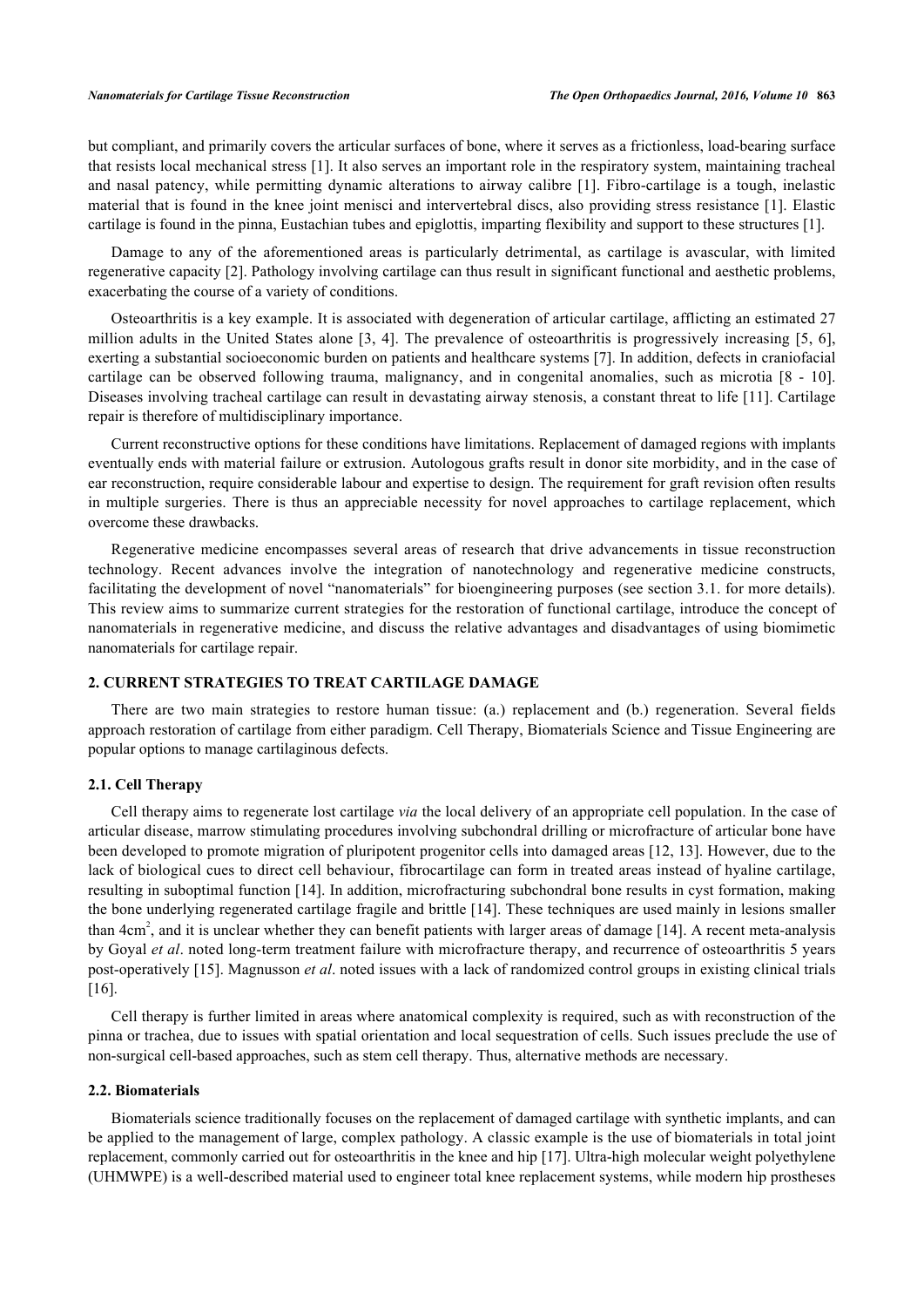but compliant, and primarily covers the articular surfaces of bone, where it serves as a frictionless, load-bearing surface that resists local mechanical stress [[1](#page-10-0)]. It also serves an important role in the respiratory system, maintaining tracheal and nasal patency, while permitting dynamic alterations to airway calibre[[1\]](#page-10-0). Fibro-cartilage is a tough, inelastic material that is found in the knee joint menisci and intervertebral discs, also providing stress resistance [\[1](#page-10-0)]. Elastic cartilage is found in the pinna, Eustachian tubes and epiglottis, imparting flexibility and support to these structures [[1\]](#page-10-0).

Damage to any of the aforementioned areas is particularly detrimental, as cartilage is avascular, with limited regenerative capacity [\[2\]](#page-10-1). Pathology involving cartilage can thus result in significant functional and aesthetic problems, exacerbating the course of a variety of conditions.

Osteoarthritis is a key example. It is associated with degeneration of articular cartilage, afflicting an estimated 27 million adults in the United States alone [[3,](#page-10-2) [4](#page-10-3)]. The prevalence of osteoarthritis is progressively increasing [\[5](#page-10-4), [6\]](#page-10-5), exerting a substantial socioeconomic burden on patients and healthcare systems [[7\]](#page-10-6). In addition, defects in craniofacial cartilage can be observed following trauma, malignancy, and in congenital anomalies, such as microtia[[8](#page-10-7) - [10\]](#page-10-8). Diseases involving tracheal cartilage can result in devastating airway stenosis, a constant threat to life [\[11](#page-10-9)]. Cartilage repair is therefore of multidisciplinary importance.

Current reconstructive options for these conditions have limitations. Replacement of damaged regions with implants eventually ends with material failure or extrusion. Autologous grafts result in donor site morbidity, and in the case of ear reconstruction, require considerable labour and expertise to design. The requirement for graft revision often results in multiple surgeries. There is thus an appreciable necessity for novel approaches to cartilage replacement, which overcome these drawbacks.

Regenerative medicine encompasses several areas of research that drive advancements in tissue reconstruction technology. Recent advances involve the integration of nanotechnology and regenerative medicine constructs, facilitating the development of novel "nanomaterials" for bioengineering purposes (see section 3.1. for more details). This review aims to summarize current strategies for the restoration of functional cartilage, introduce the concept of nanomaterials in regenerative medicine, and discuss the relative advantages and disadvantages of using biomimetic nanomaterials for cartilage repair.

#### **2. CURRENT STRATEGIES TO TREAT CARTILAGE DAMAGE**

There are two main strategies to restore human tissue: (a.) replacement and (b.) regeneration. Several fields approach restoration of cartilage from either paradigm. Cell Therapy, Biomaterials Science and Tissue Engineering are popular options to manage cartilaginous defects.

#### **2.1. Cell Therapy**

Cell therapy aims to regenerate lost cartilage *via* the local delivery of an appropriate cell population. In the case of articular disease, marrow stimulating procedures involving subchondral drilling or microfracture of articular bone have been developed to promote migration of pluripotent progenitor cells into damaged areas [[12,](#page-10-10) [13](#page-10-11)]. However, due to the lack of biological cues to direct cell behaviour, fibrocartilage can form in treated areas instead of hyaline cartilage, resulting in suboptimal function [[14\]](#page-10-12). In addition, microfracturing subchondral bone results in cyst formation, making the bone underlying regenerated cartilage fragile and brittle [[14](#page-10-12)]. These techniques are used mainly in lesions smaller than  $4cm<sup>2</sup>$ , and it is unclear whether they can benefit patients with larger areas of damage [[14\]](#page-10-12). A recent meta-analysis by Goyal *et al*. noted long-term treatment failure with microfracture therapy, and recurrence of osteoarthritis 5 years post-operatively [\[15](#page-10-13)]. Magnusson *et al*. noted issues with a lack of randomized control groups in existing clinical trials [\[16](#page-10-14)].

Cell therapy is further limited in areas where anatomical complexity is required, such as with reconstruction of the pinna or trachea, due to issues with spatial orientation and local sequestration of cells. Such issues preclude the use of non-surgical cell-based approaches, such as stem cell therapy. Thus, alternative methods are necessary.

#### **2.2. Biomaterials**

Biomaterials science traditionally focuses on the replacement of damaged cartilage with synthetic implants, and can be applied to the management of large, complex pathology. A classic example is the use of biomaterials in total joint replacement, commonly carried out for osteoarthritis in the knee and hip [\[17](#page-10-15)]. Ultra-high molecular weight polyethylene (UHMWPE) is a well-described material used to engineer total knee replacement systems, while modern hip prostheses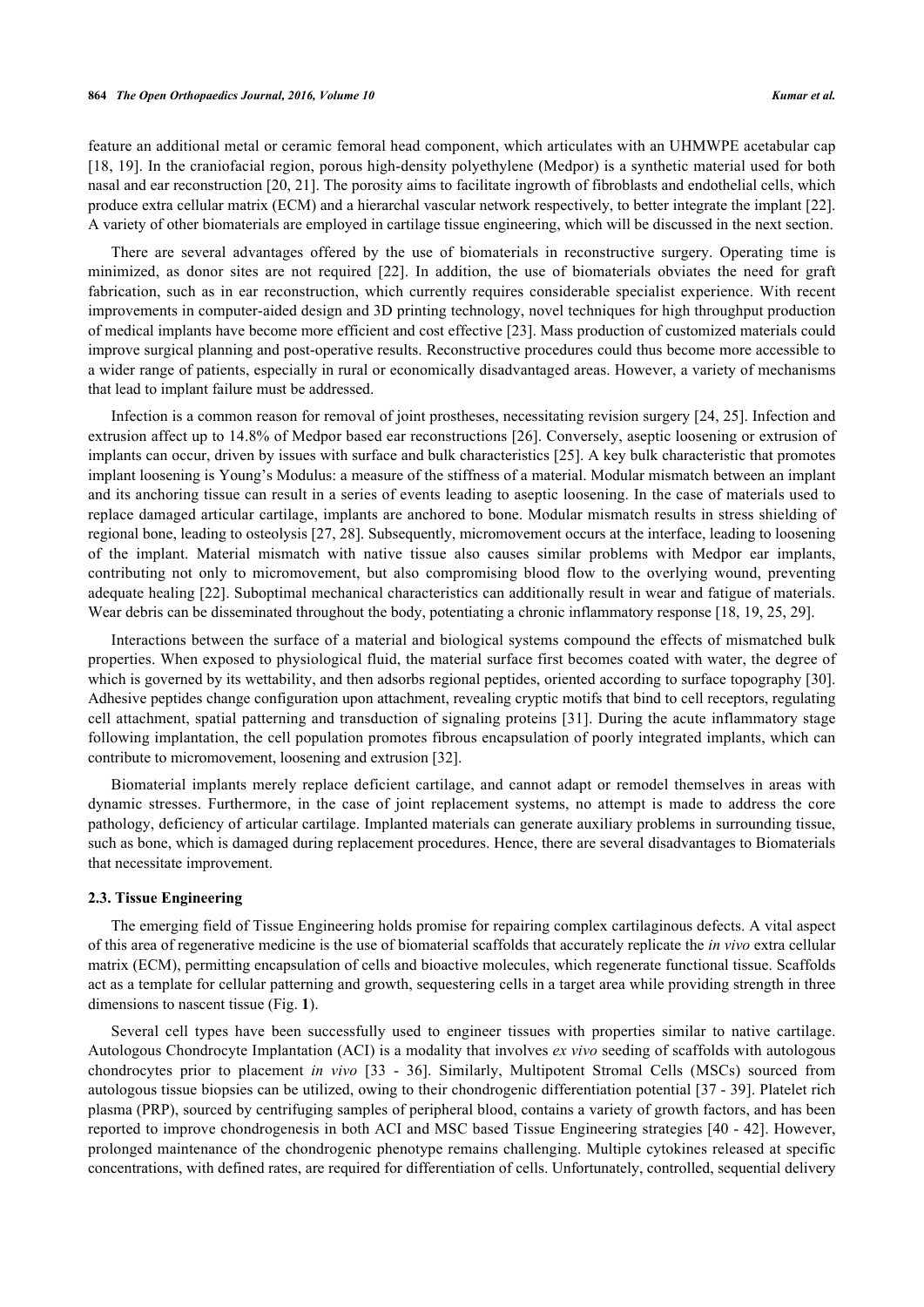feature an additional metal or ceramic femoral head component, which articulates with an UHMWPE acetabular cap [\[18](#page-10-16), [19](#page-11-0)]. In the craniofacial region, porous high-density polyethylene (Medpor) is a synthetic material used for both nasal and ear reconstruction [[20](#page-11-1), [21](#page-11-2)]. The porosity aims to facilitate ingrowth of fibroblasts and endothelial cells, which produce extra cellular matrix (ECM) and a hierarchal vascular network respectively, to better integrate the implant [[22\]](#page-11-3). A variety of other biomaterials are employed in cartilage tissue engineering, which will be discussed in the next section.

There are several advantages offered by the use of biomaterials in reconstructive surgery. Operating time is minimized, as donor sites are not required [\[22](#page-11-3)]. In addition, the use of biomaterials obviates the need for graft fabrication, such as in ear reconstruction, which currently requires considerable specialist experience. With recent improvements in computer-aided design and 3D printing technology, novel techniques for high throughput production of medical implants have become more efficient and cost effective [[23\]](#page-11-4). Mass production of customized materials could improve surgical planning and post-operative results. Reconstructive procedures could thus become more accessible to a wider range of patients, especially in rural or economically disadvantaged areas. However, a variety of mechanisms that lead to implant failure must be addressed.

Infection is a common reason for removal of joint prostheses, necessitating revision surgery [[24,](#page-11-5) [25](#page-11-6)]. Infection and extrusion affect up to 14.8% of Medpor based ear reconstructions [\[26](#page-11-7)]. Conversely, aseptic loosening or extrusion of implants can occur, driven by issues with surface and bulk characteristics [\[25](#page-11-6)]. A key bulk characteristic that promotes implant loosening is Young's Modulus: a measure of the stiffness of a material. Modular mismatch between an implant and its anchoring tissue can result in a series of events leading to aseptic loosening. In the case of materials used to replace damaged articular cartilage, implants are anchored to bone. Modular mismatch results in stress shielding of regional bone, leading to osteolysis [[27,](#page-11-8) [28](#page-11-9)]. Subsequently, micromovement occurs at the interface, leading to loosening of the implant. Material mismatch with native tissue also causes similar problems with Medpor ear implants, contributing not only to micromovement, but also compromising blood flow to the overlying wound, preventing adequate healing [[22](#page-11-3)]. Suboptimal mechanical characteristics can additionally result in wear and fatigue of materials. Wear debris can be disseminated throughout the body, potentiating a chronic inflammatory response [\[18](#page-10-16), [19](#page-11-0), [25](#page-11-6), [29](#page-11-10)].

Interactions between the surface of a material and biological systems compound the effects of mismatched bulk properties. When exposed to physiological fluid, the material surface first becomes coated with water, the degree of which is governed by its wettability, and then adsorbs regional peptides, oriented according to surface topography [[30\]](#page-11-11). Adhesive peptides change configuration upon attachment, revealing cryptic motifs that bind to cell receptors, regulating cell attachment, spatial patterning and transduction of signaling proteins [[31\]](#page-11-12). During the acute inflammatory stage following implantation, the cell population promotes fibrous encapsulation of poorly integrated implants, which can contribute to micromovement, loosening and extrusion [[32\]](#page-11-13).

Biomaterial implants merely replace deficient cartilage, and cannot adapt or remodel themselves in areas with dynamic stresses. Furthermore, in the case of joint replacement systems, no attempt is made to address the core pathology, deficiency of articular cartilage. Implanted materials can generate auxiliary problems in surrounding tissue, such as bone, which is damaged during replacement procedures. Hence, there are several disadvantages to Biomaterials that necessitate improvement.

#### **2.3. Tissue Engineering**

The emerging field of Tissue Engineering holds promise for repairing complex cartilaginous defects. A vital aspect of this area of regenerative medicine is the use of biomaterial scaffolds that accurately replicate the *in vivo* extra cellular matrix (ECM), permitting encapsulation of cells and bioactive molecules, which regenerate functional tissue. Scaffolds act as a template for cellular patterning and growth, sequestering cells in a target area while providing strength in three dimensions to nascent tissue (Fig. **[1](#page-3-0)**).

Several cell types have been successfully used to engineer tissues with properties similar to native cartilage. Autologous Chondrocyte Implantation (ACI) is a modality that involves *ex vivo* seeding of scaffolds with autologous chondrocytes prior to placement *in vivo* [[33](#page-11-14) - [36](#page-11-15)]. Similarly, Multipotent Stromal Cells (MSCs) sourced from autologous tissue biopsies can be utilized, owing to their chondrogenic differentiation potential [[37](#page-11-16) - [39\]](#page-11-17). Platelet rich plasma (PRP), sourced by centrifuging samples of peripheral blood, contains a variety of growth factors, and has been reported to improve chondrogenesis in both ACI and MSC based Tissue Engineering strategies [\[40](#page-12-0) - [42\]](#page-12-1). However, prolonged maintenance of the chondrogenic phenotype remains challenging. Multiple cytokines released at specific concentrations, with defined rates, are required for differentiation of cells. Unfortunately, controlled, sequential delivery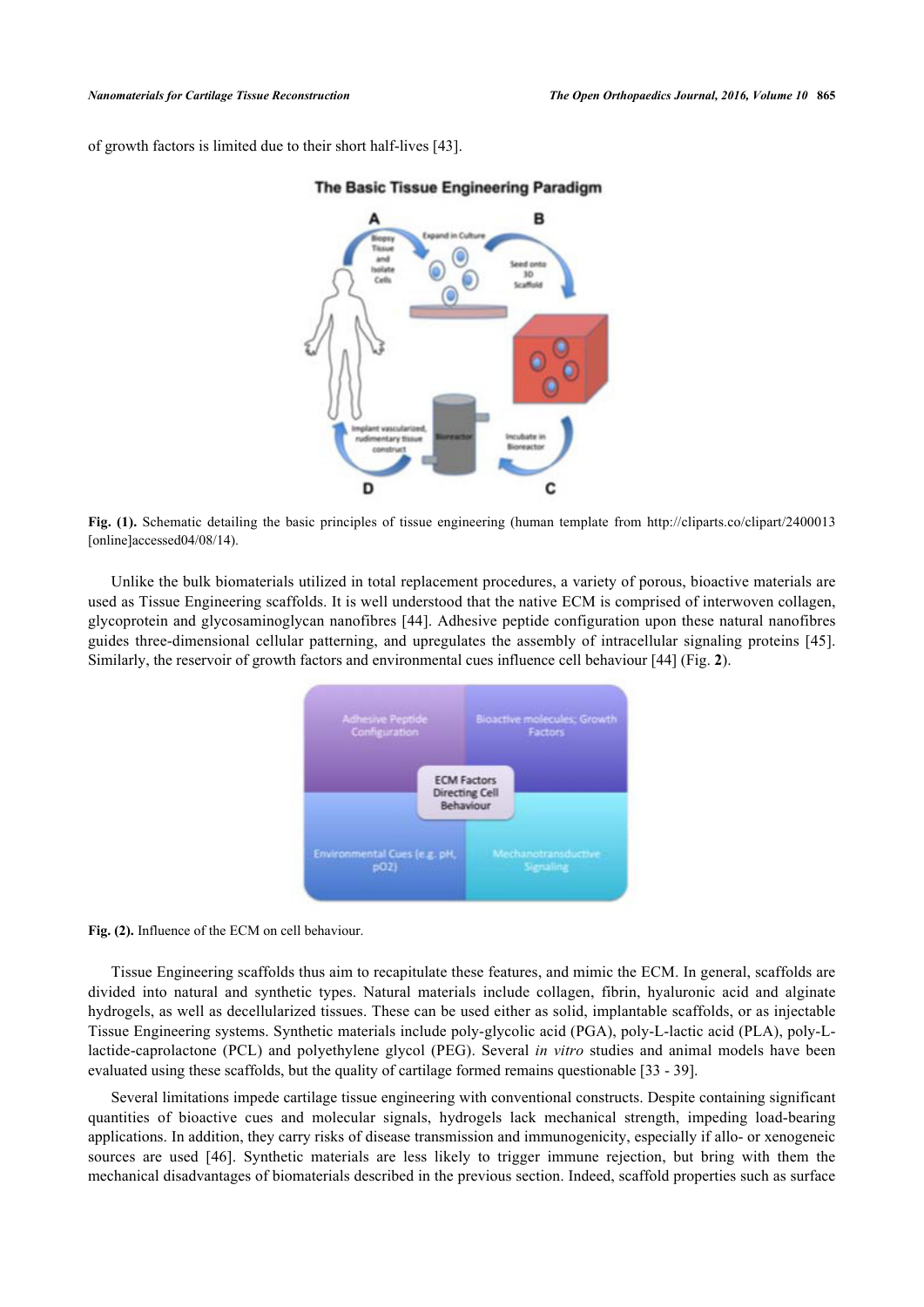<span id="page-3-0"></span>of growth factors is limited due to their short half-lives [\[43](#page-12-2)].



#### The Basic Tissue Engineering Paradigm

**Fig. (1).** Schematic detailing the basic principles of tissue engineering (human template from [http://cliparts.co/clipart/2400013](http://cliparts.co/clipart/2400013%5Bonline%5Daccessed04/08/14) [\[online\]accessed04/08/14\)](http://cliparts.co/clipart/2400013%5Bonline%5Daccessed04/08/14).

<span id="page-3-1"></span>Unlike the bulk biomaterials utilized in total replacement procedures, a variety of porous, bioactive materials are used as Tissue Engineering scaffolds. It is well understood that the native ECM is comprised of interwoven collagen, glycoprotein and glycosaminoglycan nanofibres [\[44\]](#page-12-3). Adhesive peptide configuration upon these natural nanofibres guides three-dimensional cellular patterning, and upregulates the assembly of intracellular signaling proteins [\[45\]](#page-12-4). Similarly, the reservoir of growth factors and environmental cues influence cell behaviour [\[44](#page-12-3)] (Fig. **[2](#page-3-1)**).



**Fig. (2).** Influence of the ECM on cell behaviour.

Tissue Engineering scaffolds thus aim to recapitulate these features, and mimic the ECM. In general, scaffolds are divided into natural and synthetic types. Natural materials include collagen, fibrin, hyaluronic acid and alginate hydrogels, as well as decellularized tissues. These can be used either as solid, implantable scaffolds, or as injectable Tissue Engineering systems. Synthetic materials include poly-glycolic acid (PGA), poly-L-lactic acid (PLA), poly-Llactide-caprolactone (PCL) and polyethylene glycol (PEG). Several *in vitro* studies and animal models have been evaluated using these scaffolds, but the quality of cartilage formed remains questionable [[33](#page-11-14) - [39](#page-11-17)].

Several limitations impede cartilage tissue engineering with conventional constructs. Despite containing significant quantities of bioactive cues and molecular signals, hydrogels lack mechanical strength, impeding load-bearing applications. In addition, they carry risks of disease transmission and immunogenicity, especially if allo- or xenogeneic sources are used [\[46](#page-12-5)]. Synthetic materials are less likely to trigger immune rejection, but bring with them the mechanical disadvantages of biomaterials described in the previous section. Indeed, scaffold properties such as surface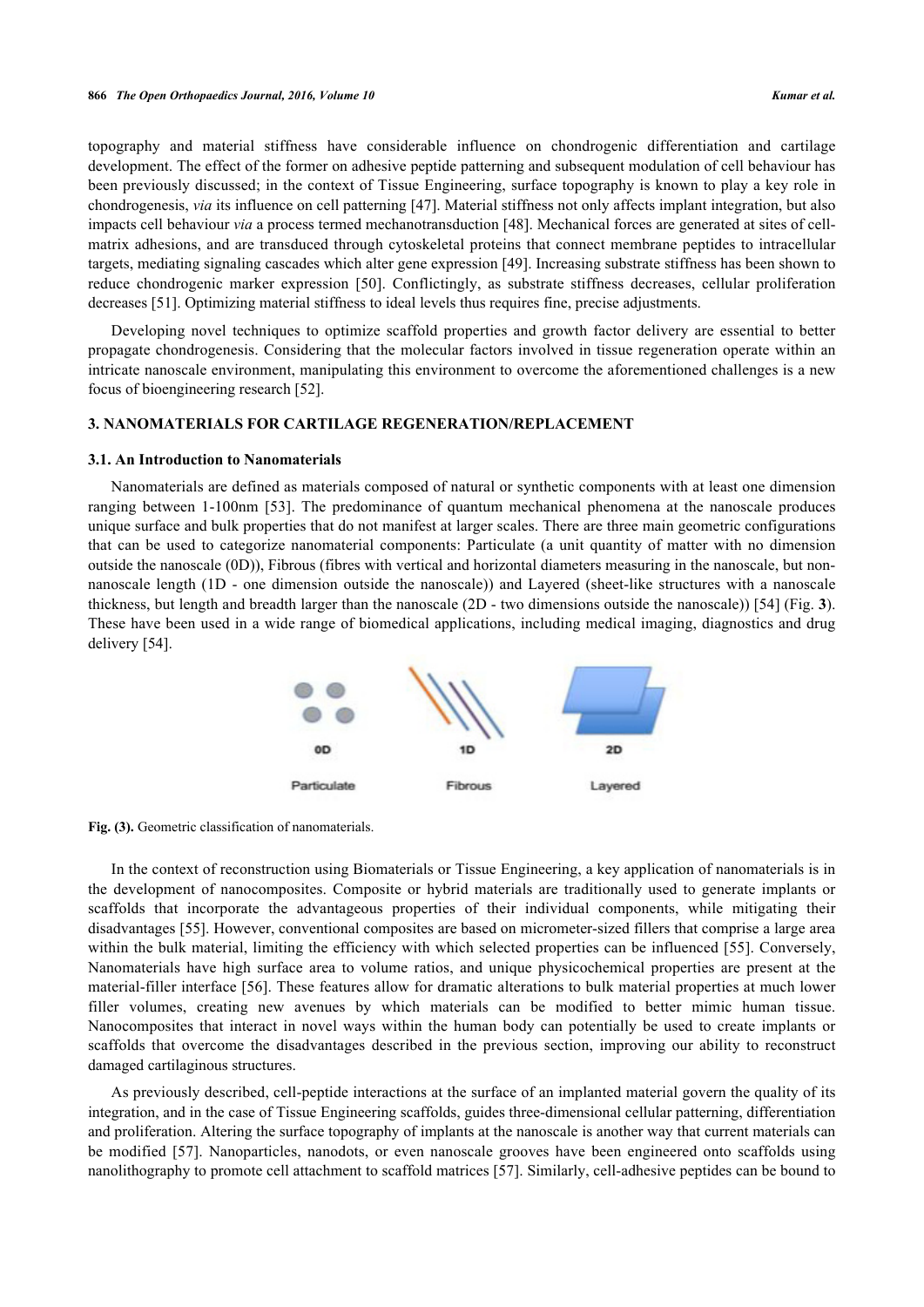topography and material stiffness have considerable influence on chondrogenic differentiation and cartilage development. The effect of the former on adhesive peptide patterning and subsequent modulation of cell behaviour has been previously discussed; in the context of Tissue Engineering, surface topography is known to play a key role in chondrogenesis, *via* its influence on cell patterning [[47](#page-12-6)]. Material stiffness not only affects implant integration, but also impacts cell behaviour *via* a process termed mechanotransduction [[48\]](#page-12-7). Mechanical forces are generated at sites of cellmatrix adhesions, and are transduced through cytoskeletal proteins that connect membrane peptides to intracellular targets, mediating signaling cascades which alter gene expression [[49\]](#page-12-8). Increasing substrate stiffness has been shown to reduce chondrogenic marker expression[[50\]](#page-12-9). Conflictingly, as substrate stiffness decreases, cellular proliferation decreases [[51\]](#page-12-10). Optimizing material stiffness to ideal levels thus requires fine, precise adjustments.

Developing novel techniques to optimize scaffold properties and growth factor delivery are essential to better propagate chondrogenesis. Considering that the molecular factors involved in tissue regeneration operate within an intricate nanoscale environment, manipulating this environment to overcome the aforementioned challenges is a new focus of bioengineering research [\[52](#page-12-11)].

#### **3. NANOMATERIALS FOR CARTILAGE REGENERATION/REPLACEMENT**

#### **3.1. An Introduction to Nanomaterials**

Nanomaterials are defined as materials composed of natural or synthetic components with at least one dimension ranging between 1-100nm [\[53](#page-12-12)]. The predominance of quantum mechanical phenomena at the nanoscale produces unique surface and bulk properties that do not manifest at larger scales. There are three main geometric configurations that can be used to categorize nanomaterial components: Particulate (a unit quantity of matter with no dimension outside the nanoscale (0D)), Fibrous (fibres with vertical and horizontal diameters measuring in the nanoscale, but nonnanoscale length (1D - one dimension outside the nanoscale)) and Layered (sheet-like structures with a nanoscale thickness, but length and breadth larger than the nanoscale (2D - two dimensions outside the nanoscale)) [\[54](#page-12-13)] (Fig. **[3](#page-4-0)**). These have been used in a wide range of biomedical applications, including medical imaging, diagnostics and drug delivery [\[54](#page-12-13)].



<span id="page-4-0"></span>Fig. (3). Geometric classification of nanomaterials.

In the context of reconstruction using Biomaterials or Tissue Engineering, a key application of nanomaterials is in the development of nanocomposites. Composite or hybrid materials are traditionally used to generate implants or scaffolds that incorporate the advantageous properties of their individual components, while mitigating their disadvantages [\[55](#page-12-14)]. However, conventional composites are based on micrometer-sized fillers that comprise a large area within the bulk material, limiting the efficiency with which selected properties can be influenced [[55](#page-12-14)]. Conversely, Nanomaterials have high surface area to volume ratios, and unique physicochemical properties are present at the material-filler interface [[56](#page-12-15)]. These features allow for dramatic alterations to bulk material properties at much lower filler volumes, creating new avenues by which materials can be modified to better mimic human tissue. Nanocomposites that interact in novel ways within the human body can potentially be used to create implants or scaffolds that overcome the disadvantages described in the previous section, improving our ability to reconstruct damaged cartilaginous structures.

As previously described, cell-peptide interactions at the surface of an implanted material govern the quality of its integration, and in the case of Tissue Engineering scaffolds, guides three-dimensional cellular patterning, differentiation and proliferation. Altering the surface topography of implants at the nanoscale is another way that current materials can be modified[[57\]](#page-12-16). Nanoparticles, nanodots, or even nanoscale grooves have been engineered onto scaffolds using nanolithography to promote cell attachment to scaffold matrices [\[57](#page-12-16)]. Similarly, cell-adhesive peptides can be bound to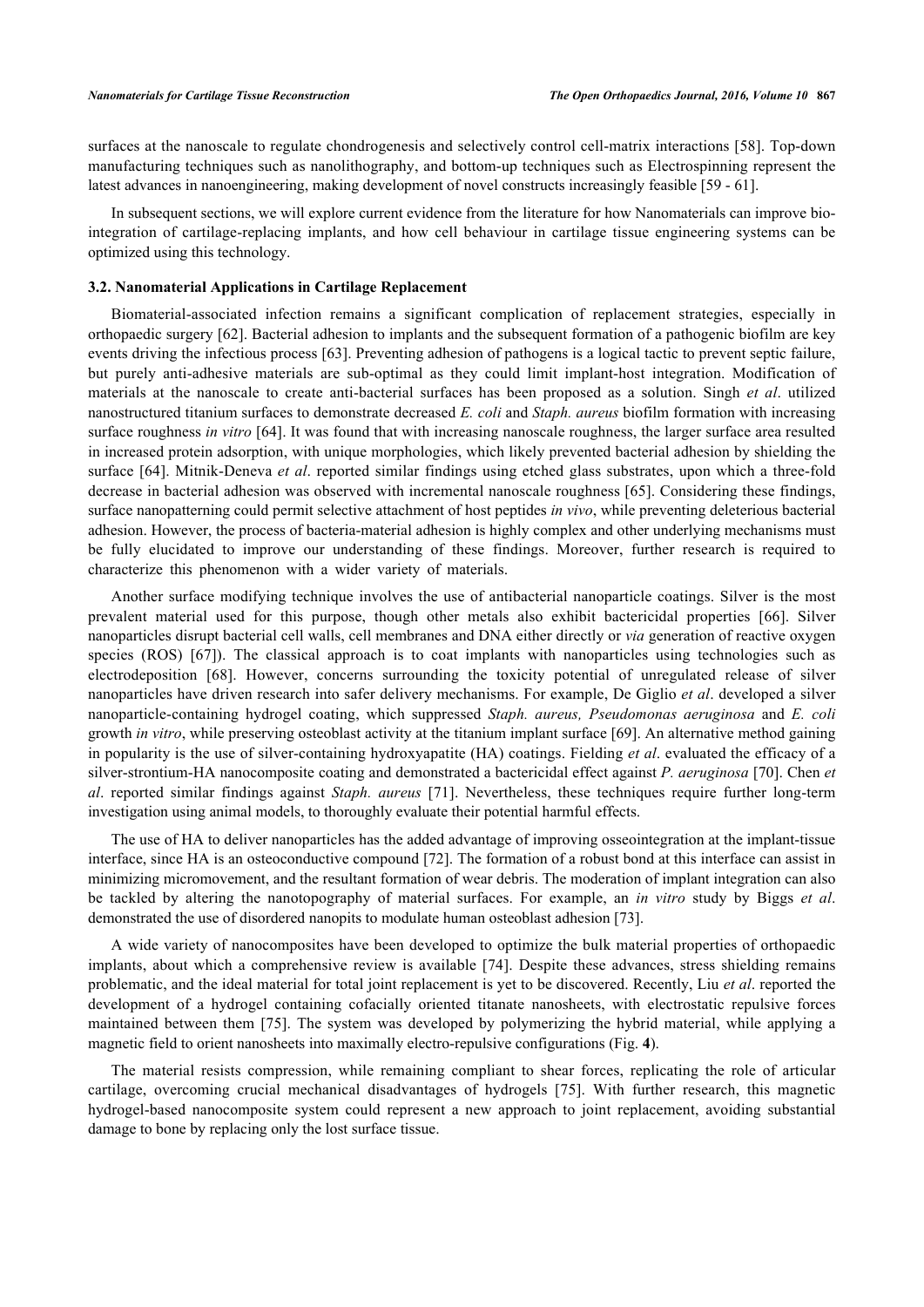surfaces at the nanoscale to regulate chondrogenesis and selectively control cell-matrix interactions [[58](#page-12-17)]. Top-down manufacturing techniques such as nanolithography, and bottom-up techniques such as Electrospinning represent the latest advances in nanoengineering, making development of novel constructs increasingly feasible [[59](#page-12-18) - [61](#page-13-0)].

In subsequent sections, we will explore current evidence from the literature for how Nanomaterials can improve biointegration of cartilage-replacing implants, and how cell behaviour in cartilage tissue engineering systems can be optimized using this technology.

#### **3.2. Nanomaterial Applications in Cartilage Replacement**

Biomaterial-associated infection remains a significant complication of replacement strategies, especially in orthopaedic surgery [[62\]](#page-13-1). Bacterial adhesion to implants and the subsequent formation of a pathogenic biofilm are key events driving the infectious process [[63\]](#page-13-2). Preventing adhesion of pathogens is a logical tactic to prevent septic failure, but purely anti-adhesive materials are sub-optimal as they could limit implant-host integration. Modification of materials at the nanoscale to create anti-bacterial surfaces has been proposed as a solution. Singh *et al*. utilized nanostructured titanium surfaces to demonstrate decreased *E. coli* and *Staph. aureus* biofilm formation with increasing surface roughness *in vitro* [\[64\]](#page-13-3). It was found that with increasing nanoscale roughness, the larger surface area resulted in increased protein adsorption, with unique morphologies, which likely prevented bacterial adhesion by shielding the surface [\[64](#page-13-3)]. Mitnik-Deneva *et al*. reported similar findings using etched glass substrates, upon which a three-fold decrease in bacterial adhesion was observed with incremental nanoscale roughness [\[65](#page-13-4)]. Considering these findings, surface nanopatterning could permit selective attachment of host peptides *in vivo*, while preventing deleterious bacterial adhesion. However, the process of bacteria-material adhesion is highly complex and other underlying mechanisms must be fully elucidated to improve our understanding of these findings. Moreover, further research is required to characterize this phenomenon with a wider variety of materials.

Another surface modifying technique involves the use of antibacterial nanoparticle coatings. Silver is the most prevalent material used for this purpose, though other metals also exhibit bactericidal properties[[66\]](#page-13-5). Silver nanoparticles disrupt bacterial cell walls, cell membranes and DNA either directly or *via* generation of reactive oxygen species(ROS) [[67](#page-13-6)]). The classical approach is to coat implants with nanoparticles using technologies such as electrodeposition[[68\]](#page-13-7). However, concerns surrounding the toxicity potential of unregulated release of silver nanoparticles have driven research into safer delivery mechanisms. For example, De Giglio *et al*. developed a silver nanoparticle-containing hydrogel coating, which suppressed *Staph. aureus, Pseudomonas aeruginosa* and *E. coli* growth *in vitro*, while preserving osteoblast activity at the titanium implant surface [\[69](#page-13-8)]. An alternative method gaining in popularity is the use of silver-containing hydroxyapatite (HA) coatings. Fielding *et al*. evaluated the efficacy of a silver-strontium-HA nanocomposite coating and demonstrated a bactericidal effect against *P. aeruginosa* [[70\]](#page-13-9). Chen *et al*. reported similar findings against *Staph. aureus* [\[71\]](#page-13-10). Nevertheless, these techniques require further long-term investigation using animal models, to thoroughly evaluate their potential harmful effects.

The use of HA to deliver nanoparticles has the added advantage of improving osseointegration at the implant-tissue interface, since HA is an osteoconductive compound [\[72](#page-13-11)]. The formation of a robust bond at this interface can assist in minimizing micromovement, and the resultant formation of wear debris. The moderation of implant integration can also be tackled by altering the nanotopography of material surfaces. For example, an *in vitro* study by Biggs *et al*. demonstrated the use of disordered nanopits to modulate human osteoblast adhesion [\[73](#page-13-12)].

A wide variety of nanocomposites have been developed to optimize the bulk material properties of orthopaedic implants, about which a comprehensive review is available [\[74\]](#page-13-13). Despite these advances, stress shielding remains problematic, and the ideal material for total joint replacement is yet to be discovered. Recently, Liu *et al*. reported the development of a hydrogel containing cofacially oriented titanate nanosheets, with electrostatic repulsive forces maintained between them [\[75\]](#page-13-14). The system was developed by polymerizing the hybrid material, while applying a magnetic field to orient nanosheets into maximally electro-repulsive configurations (Fig. **[4](#page-5-0)**).

<span id="page-5-0"></span>The material resists compression, while remaining compliant to shear forces, replicating the role of articular cartilage, overcoming crucial mechanical disadvantages of hydrogels[[75](#page-13-14)]. With further research, this magnetic hydrogel-based nanocomposite system could represent a new approach to joint replacement, avoiding substantial damage to bone by replacing only the lost surface tissue.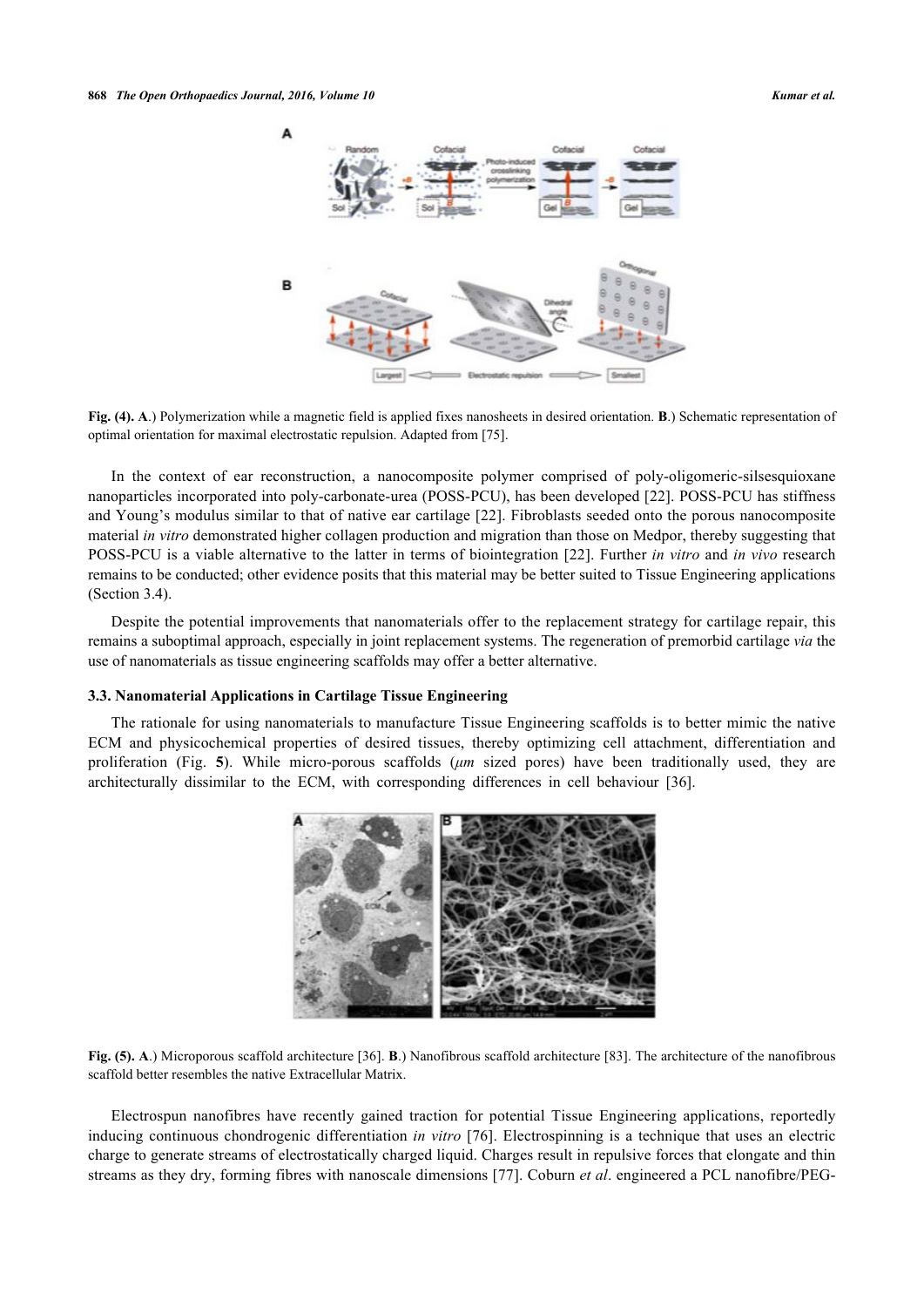

**Fig. (4). A**.) Polymerization while a magnetic field is applied fixes nanosheets in desired orientation. **B**.) Schematic representation of optimal orientation for maximal electrostatic repulsion. Adapted from [\[75](#page-13-14)].

In the context of ear reconstruction, a nanocomposite polymer comprised of poly-oligomeric-silsesquioxane nanoparticles incorporated into poly-carbonate-urea (POSS-PCU), has been developed [[22\]](#page-11-3). POSS-PCU has stiffness and Young's modulus similar to that of native ear cartilage [[22](#page-11-3)]. Fibroblasts seeded onto the porous nanocomposite material *in vitro* demonstrated higher collagen production and migration than those on Medpor, thereby suggesting that POSS-PCU is a viable alternative to the latter in terms of biointegration [[22](#page-11-3)]. Further *in vitro* and *in vivo* research remains to be conducted; other evidence posits that this material may be better suited to Tissue Engineering applications (Section 3.4).

Despite the potential improvements that nanomaterials offer to the replacement strategy for cartilage repair, this remains a suboptimal approach, especially in joint replacement systems. The regeneration of premorbid cartilage *via* the use of nanomaterials as tissue engineering scaffolds may offer a better alternative.

#### **3.3. Nanomaterial Applications in Cartilage Tissue Engineering**

The rationale for using nanomaterials to manufacture Tissue Engineering scaffolds is to better mimic the native ECM and physicochemical properties of desired tissues, thereby optimizing cell attachment, differentiation and proliferation (Fig.**5**). While micro-porous scaffolds (*μm* sized pores) have been traditionally used, they are architecturally dissimilar to the ECM, with corresponding differences in cell behaviour[[36\]](#page-11-15).

<span id="page-6-0"></span>

**Fig. (5). A**.) Microporous scaffold architecture [[36\]](#page-11-15). **B**.) Nanofibrous scaffold architecture [[83\]](#page-14-0). The architecture of the nanofibrous scaffold better resembles the native Extracellular Matrix.

Electrospun nanofibres have recently gained traction for potential Tissue Engineering applications, reportedly inducing continuous chondrogenic differentiation *in vitro* [\[76\]](#page-13-15). Electrospinning is a technique that uses an electric charge to generate streams of electrostatically charged liquid. Charges result in repulsive forces that elongate and thin streams as they dry, forming fibres with nanoscale dimensions [[77](#page-13-16)]. Coburn *et al*. engineered a PCL nanofibre/PEG-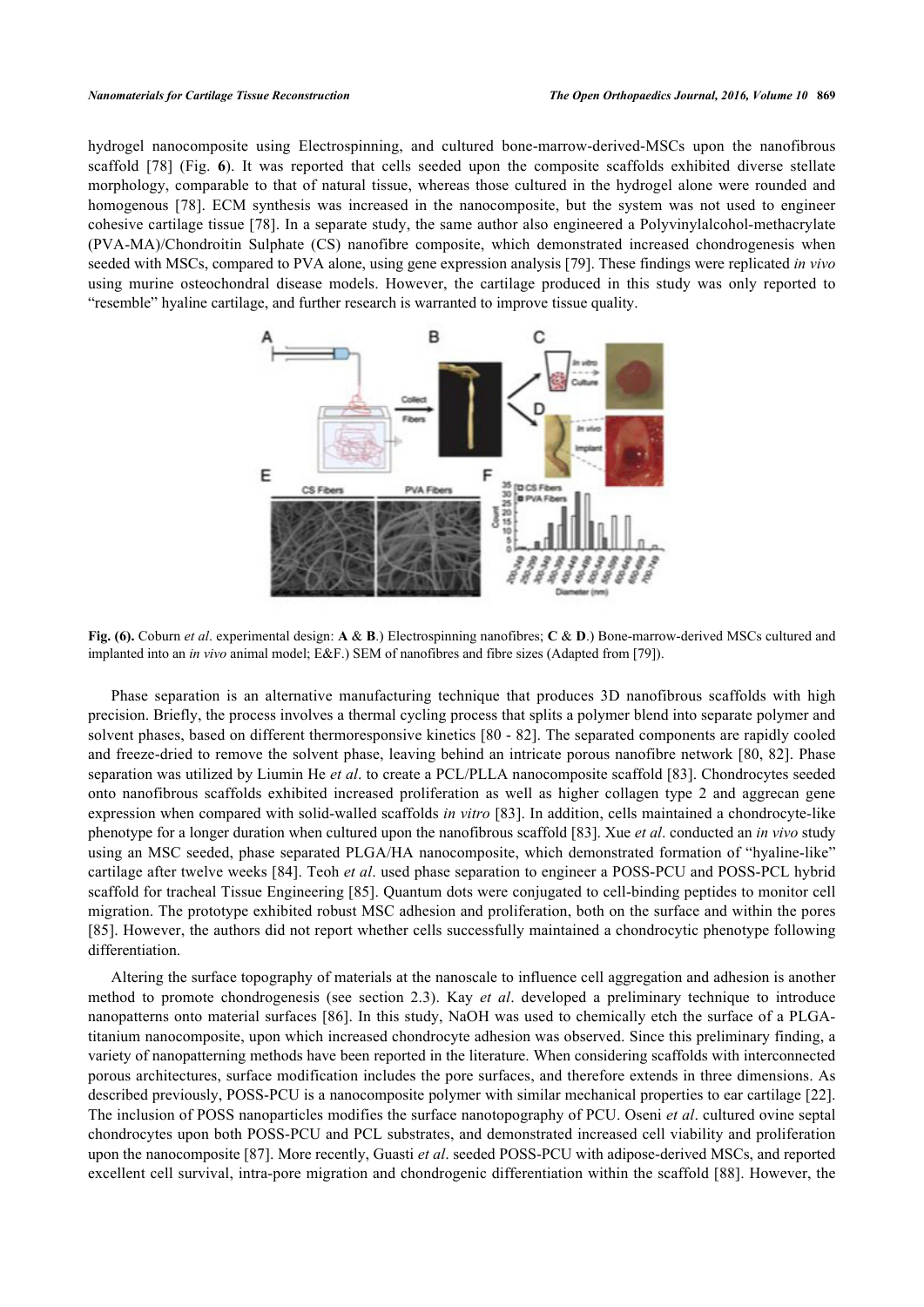<span id="page-7-0"></span>hydrogel nanocomposite using Electrospinning, and cultured bone-marrow-derived-MSCs upon the nanofibrous scaffold[[78\]](#page-13-17) (Fig.**6**). It was reported that cells seeded upon the composite scaffolds exhibited diverse stellate morphology, comparable to that of natural tissue, whereas those cultured in the hydrogel alone were rounded and homogenous [\[78\]](#page-13-17). ECM synthesis was increased in the nanocomposite, but the system was not used to engineer cohesive cartilage tissue [\[78](#page-13-17)]. In a separate study, the same author also engineered a Polyvinylalcohol-methacrylate (PVA-MA)/Chondroitin Sulphate (CS) nanofibre composite, which demonstrated increased chondrogenesis when seeded with MSCs, compared to PVA alone, using gene expression analysis [\[79](#page-13-18)]. These findings were replicated *in vivo* using murine osteochondral disease models. However, the cartilage produced in this study was only reported to "resemble" hyaline cartilage, and further research is warranted to improve tissue quality.



**Fig. (6).** Coburn *et al*. experimental design: **A** & **B**.) Electrospinning nanofibres; **C** & **D**.) Bone-marrow-derived MSCs cultured and implanted into an *in vivo* animal model; E&F.) SEM of nanofibres and fibre sizes (Adapted from [[79\]](#page-13-18)).

Phase separation is an alternative manufacturing technique that produces 3D nanofibrous scaffolds with high precision. Briefly, the process involves a thermal cycling process that splits a polymer blend into separate polymer and solvent phases, based on different thermoresponsive kinetics [\[80](#page-14-1) - [82\]](#page-14-2). The separated components are rapidly cooled and freeze-dried to remove the solvent phase, leaving behind an intricate porous nanofibre network [\[80](#page-14-1), [82\]](#page-14-2). Phase separation was utilized by Liumin He *et al*. to create a PCL/PLLA nanocomposite scaffold [\[83](#page-14-0)]. Chondrocytes seeded onto nanofibrous scaffolds exhibited increased proliferation as well as higher collagen type 2 and aggrecan gene expression when compared with solid-walled scaffolds *in vitro* [\[83\]](#page-14-0). In addition, cells maintained a chondrocyte-like phenotype for a longer duration when cultured upon the nanofibrous scaffold [[83\]](#page-14-0). Xue *et al*. conducted an *in vivo* study using an MSC seeded, phase separated PLGA/HA nanocomposite, which demonstrated formation of "hyaline-like" cartilage after twelve weeks [[84\]](#page-14-3). Teoh *et al*. used phase separation to engineer a POSS-PCU and POSS-PCL hybrid scaffold for tracheal Tissue Engineering [[85](#page-14-4)]. Quantum dots were conjugated to cell-binding peptides to monitor cell migration. The prototype exhibited robust MSC adhesion and proliferation, both on the surface and within the pores [\[85](#page-14-4)]. However, the authors did not report whether cells successfully maintained a chondrocytic phenotype following differentiation.

Altering the surface topography of materials at the nanoscale to influence cell aggregation and adhesion is another method to promote chondrogenesis (see section 2.3). Kay *et al*. developed a preliminary technique to introduce nanopatterns onto material surfaces [\[86](#page-14-5)]. In this study, NaOH was used to chemically etch the surface of a PLGAtitanium nanocomposite, upon which increased chondrocyte adhesion was observed. Since this preliminary finding, a variety of nanopatterning methods have been reported in the literature. When considering scaffolds with interconnected porous architectures, surface modification includes the pore surfaces, and therefore extends in three dimensions. As described previously, POSS-PCU is a nanocomposite polymer with similar mechanical properties to ear cartilage [[22\]](#page-11-3). The inclusion of POSS nanoparticles modifies the surface nanotopography of PCU. Oseni *et al*. cultured ovine septal chondrocytes upon both POSS-PCU and PCL substrates, and demonstrated increased cell viability and proliferation upon the nanocomposite [[87\]](#page-14-6). More recently, Guasti *et al*. seeded POSS-PCU with adipose-derived MSCs, and reported excellent cell survival, intra-pore migration and chondrogenic differentiation within the scaffold [[88\]](#page-14-7). However, the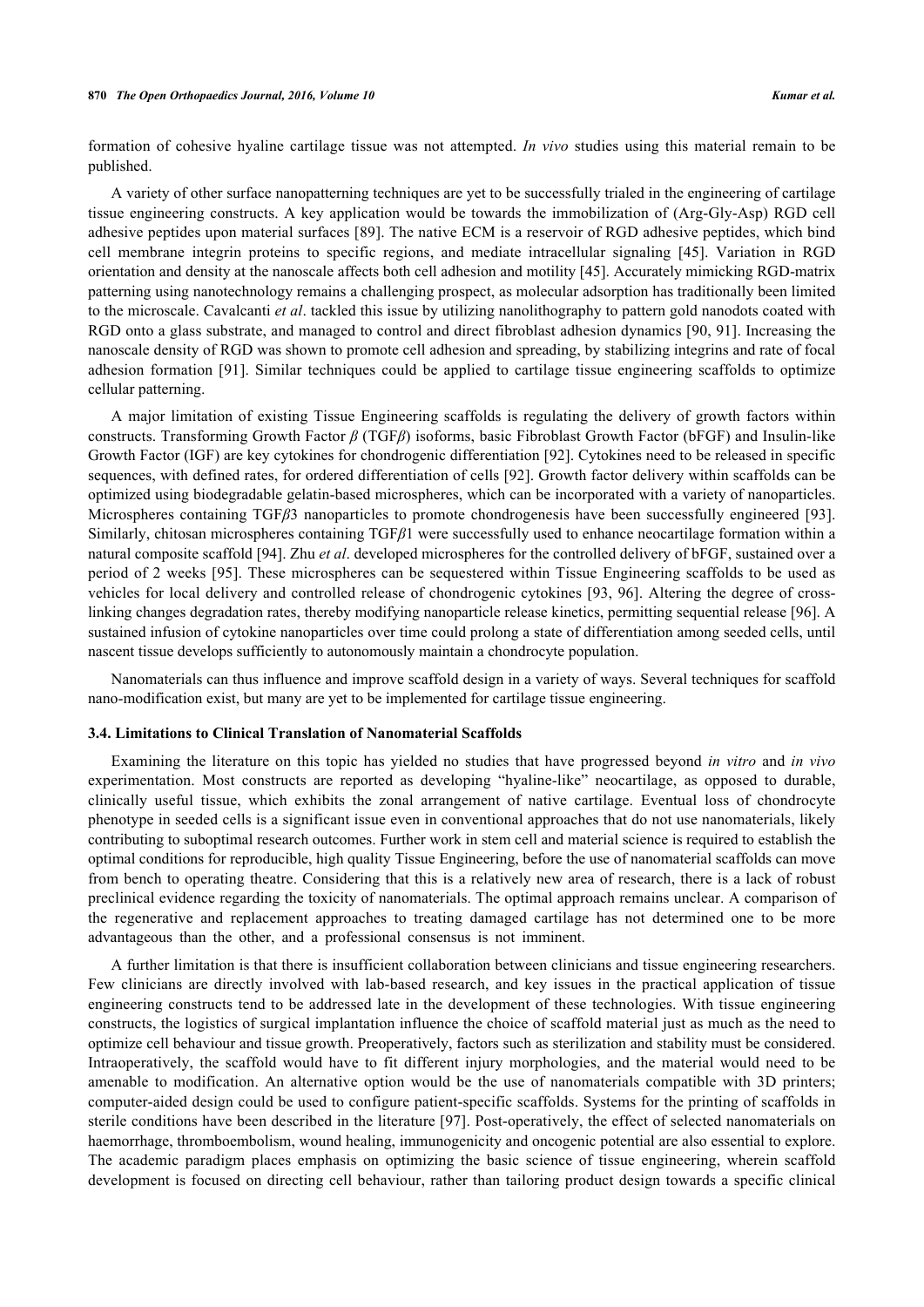formation of cohesive hyaline cartilage tissue was not attempted. *In vivo* studies using this material remain to be published.

A variety of other surface nanopatterning techniques are yet to be successfully trialed in the engineering of cartilage tissue engineering constructs. A key application would be towards the immobilization of (Arg-Gly-Asp) RGD cell adhesive peptides upon material surfaces [[89](#page-14-8)]. The native ECM is a reservoir of RGD adhesive peptides, which bind cell membrane integrin proteins to specific regions, and mediate intracellular signaling[[45\]](#page-12-4). Variation in RGD orientation and density at the nanoscale affects both cell adhesion and motility [[45](#page-12-4)]. Accurately mimicking RGD-matrix patterning using nanotechnology remains a challenging prospect, as molecular adsorption has traditionally been limited to the microscale. Cavalcanti *et al*. tackled this issue by utilizing nanolithography to pattern gold nanodots coated with RGD onto a glass substrate, and managed to control and direct fibroblast adhesion dynamics [[90](#page-14-9), [91\]](#page-14-10). Increasing the nanoscale density of RGD was shown to promote cell adhesion and spreading, by stabilizing integrins and rate of focal adhesion formation [\[91\]](#page-14-10). Similar techniques could be applied to cartilage tissue engineering scaffolds to optimize cellular patterning.

A major limitation of existing Tissue Engineering scaffolds is regulating the delivery of growth factors within constructs. Transforming Growth Factor *β* (TGF*β*) isoforms, basic Fibroblast Growth Factor (bFGF) and Insulin-like Growth Factor (IGF) are key cytokines for chondrogenic differentiation [[92](#page-14-11)]. Cytokines need to be released in specific sequences, with defined rates, for ordered differentiation of cells [\[92](#page-14-11)]. Growth factor delivery within scaffolds can be optimized using biodegradable gelatin-based microspheres, which can be incorporated with a variety of nanoparticles. Microspheres containing TGF*β*3 nanoparticles to promote chondrogenesis have been successfully engineered [\[93\]](#page-14-12). Similarly, chitosan microspheres containing TGF*β*1 were successfully used to enhance neocartilage formation within a natural composite scaffold [[94\]](#page-14-13). Zhu *et al*. developed microspheres for the controlled delivery of bFGF, sustained over a period of 2 weeks [[95](#page-14-14)]. These microspheres can be sequestered within Tissue Engineering scaffolds to be used as vehicles for local delivery and controlled release of chondrogenic cytokines [[93](#page-14-12), [96](#page-14-15)]. Altering the degree of crosslinking changes degradation rates, thereby modifying nanoparticle release kinetics, permitting sequential release [[96\]](#page-14-15). A sustained infusion of cytokine nanoparticles over time could prolong a state of differentiation among seeded cells, until nascent tissue develops sufficiently to autonomously maintain a chondrocyte population.

Nanomaterials can thus influence and improve scaffold design in a variety of ways. Several techniques for scaffold nano-modification exist, but many are yet to be implemented for cartilage tissue engineering.

#### **3.4. Limitations to Clinical Translation of Nanomaterial Scaffolds**

Examining the literature on this topic has yielded no studies that have progressed beyond *in vitro* and *in vivo* experimentation. Most constructs are reported as developing "hyaline-like" neocartilage, as opposed to durable, clinically useful tissue, which exhibits the zonal arrangement of native cartilage. Eventual loss of chondrocyte phenotype in seeded cells is a significant issue even in conventional approaches that do not use nanomaterials, likely contributing to suboptimal research outcomes. Further work in stem cell and material science is required to establish the optimal conditions for reproducible, high quality Tissue Engineering, before the use of nanomaterial scaffolds can move from bench to operating theatre. Considering that this is a relatively new area of research, there is a lack of robust preclinical evidence regarding the toxicity of nanomaterials. The optimal approach remains unclear. A comparison of the regenerative and replacement approaches to treating damaged cartilage has not determined one to be more advantageous than the other, and a professional consensus is not imminent.

A further limitation is that there is insufficient collaboration between clinicians and tissue engineering researchers. Few clinicians are directly involved with lab-based research, and key issues in the practical application of tissue engineering constructs tend to be addressed late in the development of these technologies. With tissue engineering constructs, the logistics of surgical implantation influence the choice of scaffold material just as much as the need to optimize cell behaviour and tissue growth. Preoperatively, factors such as sterilization and stability must be considered. Intraoperatively, the scaffold would have to fit different injury morphologies, and the material would need to be amenable to modification. An alternative option would be the use of nanomaterials compatible with 3D printers; computer-aided design could be used to configure patient-specific scaffolds. Systems for the printing of scaffolds in sterile conditions have been described in the literature [[97](#page-14-16)]. Post-operatively, the effect of selected nanomaterials on haemorrhage, thromboembolism, wound healing, immunogenicity and oncogenic potential are also essential to explore. The academic paradigm places emphasis on optimizing the basic science of tissue engineering, wherein scaffold development is focused on directing cell behaviour, rather than tailoring product design towards a specific clinical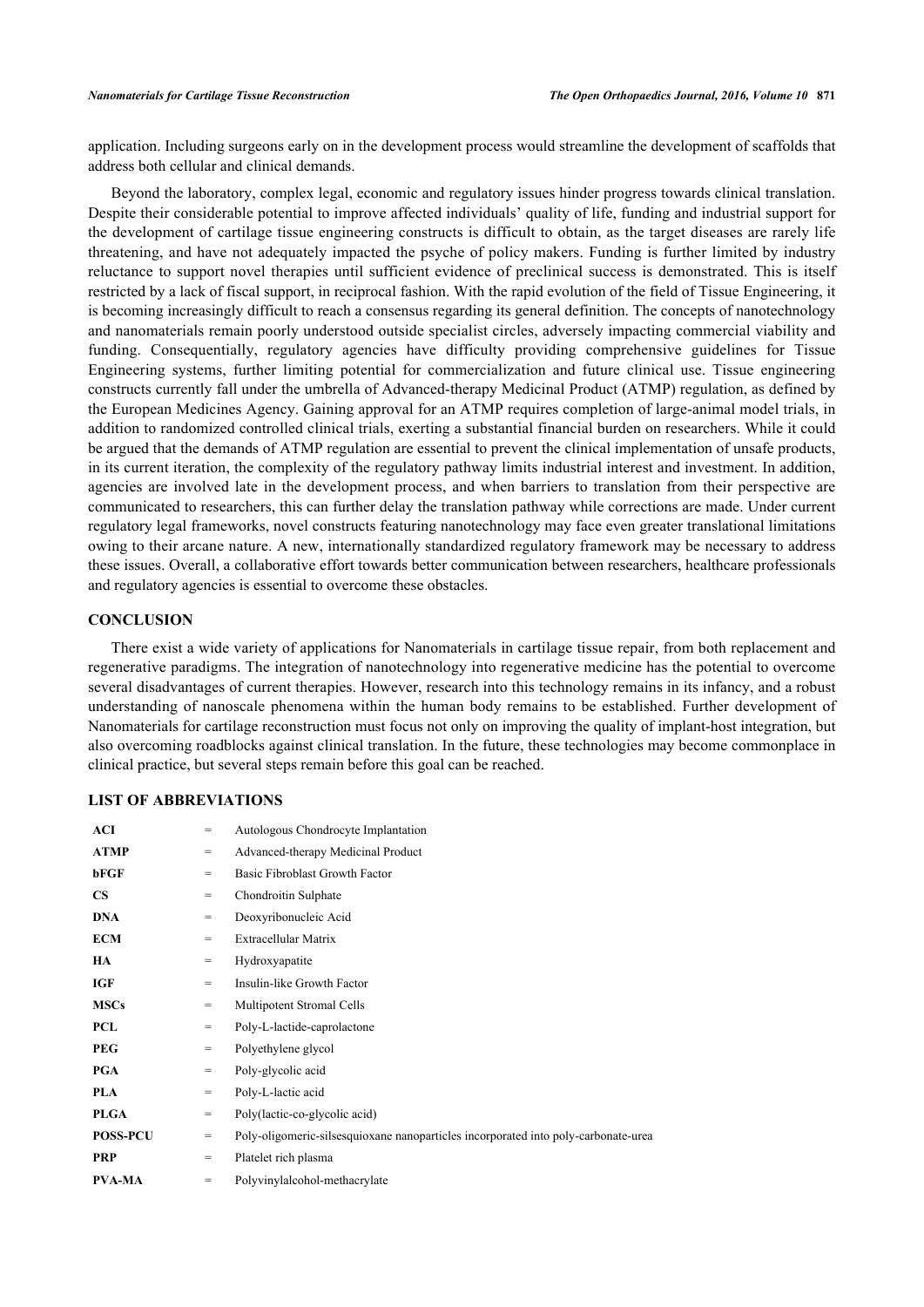application. Including surgeons early on in the development process would streamline the development of scaffolds that address both cellular and clinical demands.

Beyond the laboratory, complex legal, economic and regulatory issues hinder progress towards clinical translation. Despite their considerable potential to improve affected individuals' quality of life, funding and industrial support for the development of cartilage tissue engineering constructs is difficult to obtain, as the target diseases are rarely life threatening, and have not adequately impacted the psyche of policy makers. Funding is further limited by industry reluctance to support novel therapies until sufficient evidence of preclinical success is demonstrated. This is itself restricted by a lack of fiscal support, in reciprocal fashion. With the rapid evolution of the field of Tissue Engineering, it is becoming increasingly difficult to reach a consensus regarding its general definition. The concepts of nanotechnology and nanomaterials remain poorly understood outside specialist circles, adversely impacting commercial viability and funding. Consequentially, regulatory agencies have difficulty providing comprehensive guidelines for Tissue Engineering systems, further limiting potential for commercialization and future clinical use. Tissue engineering constructs currently fall under the umbrella of Advanced-therapy Medicinal Product (ATMP) regulation, as defined by the European Medicines Agency. Gaining approval for an ATMP requires completion of large-animal model trials, in addition to randomized controlled clinical trials, exerting a substantial financial burden on researchers. While it could be argued that the demands of ATMP regulation are essential to prevent the clinical implementation of unsafe products, in its current iteration, the complexity of the regulatory pathway limits industrial interest and investment. In addition, agencies are involved late in the development process, and when barriers to translation from their perspective are communicated to researchers, this can further delay the translation pathway while corrections are made. Under current regulatory legal frameworks, novel constructs featuring nanotechnology may face even greater translational limitations owing to their arcane nature. A new, internationally standardized regulatory framework may be necessary to address these issues. Overall, a collaborative effort towards better communication between researchers, healthcare professionals and regulatory agencies is essential to overcome these obstacles.

### **CONCLUSION**

There exist a wide variety of applications for Nanomaterials in cartilage tissue repair, from both replacement and regenerative paradigms. The integration of nanotechnology into regenerative medicine has the potential to overcome several disadvantages of current therapies. However, research into this technology remains in its infancy, and a robust understanding of nanoscale phenomena within the human body remains to be established. Further development of Nanomaterials for cartilage reconstruction must focus not only on improving the quality of implant-host integration, but also overcoming roadblocks against clinical translation. In the future, these technologies may become commonplace in clinical practice, but several steps remain before this goal can be reached.

#### **LIST OF ABBREVIATIONS**

| <b>ACI</b>      | $=$ | Autologous Chondrocyte Implantation                                                  |  |  |
|-----------------|-----|--------------------------------------------------------------------------------------|--|--|
| <b>ATMP</b>     | $=$ | Advanced-therapy Medicinal Product                                                   |  |  |
| bFGF            | $=$ | Basic Fibroblast Growth Factor                                                       |  |  |
| $\mathbf{CS}$   | $=$ | Chondroitin Sulphate                                                                 |  |  |
| <b>DNA</b>      | $=$ | Deoxyribonucleic Acid                                                                |  |  |
| <b>ECM</b>      | $=$ | Extracellular Matrix                                                                 |  |  |
| HA              | $=$ | Hydroxyapatite                                                                       |  |  |
| <b>IGF</b>      | $=$ | Insulin-like Growth Factor                                                           |  |  |
| <b>MSCs</b>     | $=$ | Multipotent Stromal Cells                                                            |  |  |
| <b>PCL</b>      | $=$ | Poly-L-lactide-caprolactone                                                          |  |  |
| <b>PEG</b>      | $=$ | Polyethylene glycol                                                                  |  |  |
| <b>PGA</b>      | $=$ | Poly-glycolic acid                                                                   |  |  |
| <b>PLA</b>      | $=$ | Poly-L-lactic acid                                                                   |  |  |
| <b>PLGA</b>     | $=$ | Poly(lactic-co-glycolic acid)                                                        |  |  |
| <b>POSS-PCU</b> | $=$ | Poly-oligomeric-silses qui oxane nanoparticles incorporated into poly-carbonate-urea |  |  |
| <b>PRP</b>      | $=$ | Platelet rich plasma                                                                 |  |  |
| <b>PVA-MA</b>   | $=$ | Polyvinylalcohol-methacrylate                                                        |  |  |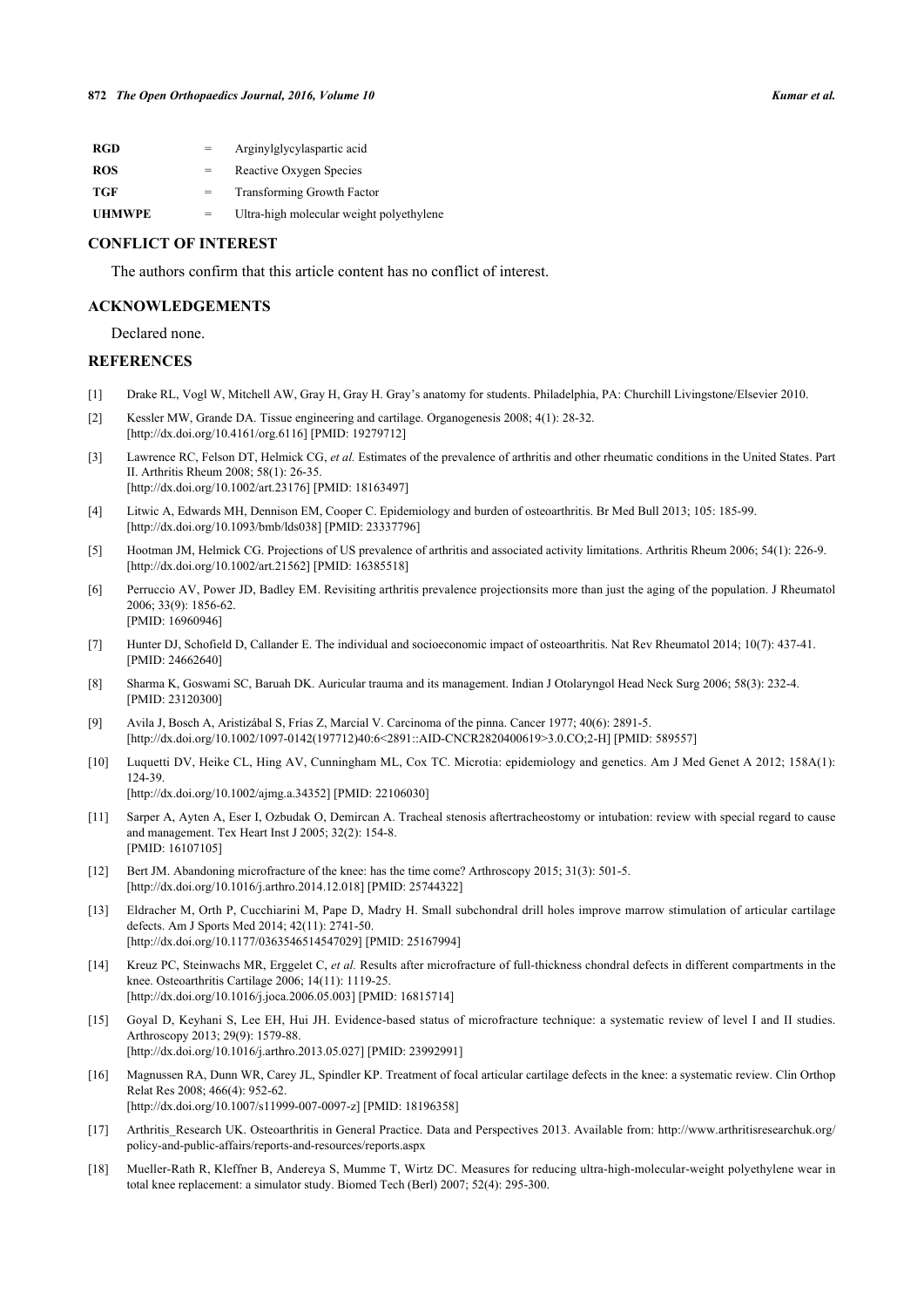| <b>RGD</b>    | $=$ | Arginylglycylaspartic acid               |
|---------------|-----|------------------------------------------|
| <b>ROS</b>    | $=$ | Reactive Oxygen Species                  |
| TGF           |     | <b>Transforming Growth Factor</b>        |
| <b>UHMWPE</b> | $=$ | Ultra-high molecular weight polyethylene |

#### **CONFLICT OF INTEREST**

The authors confirm that this article content has no conflict of interest.

#### **ACKNOWLEDGEMENTS**

Declared none.

#### **REFERENCES**

- <span id="page-10-0"></span>[1] Drake RL, Vogl W, Mitchell AW, Gray H, Gray H. Gray's anatomy for students. Philadelphia, PA: Churchill Livingstone/Elsevier 2010.
- <span id="page-10-1"></span>[2] Kessler MW, Grande DA. Tissue engineering and cartilage. Organogenesis 2008; 4(1): 28-32. [\[http://dx.doi.org/10.4161/org.6116](http://dx.doi.org/10.4161/org.6116)] [PMID: [19279712](http://www.ncbi.nlm.nih.gov/pubmed/19279712)]
- <span id="page-10-2"></span>[3] Lawrence RC, Felson DT, Helmick CG, *et al.* Estimates of the prevalence of arthritis and other rheumatic conditions in the United States. Part II. Arthritis Rheum 2008; 58(1): 26-35. [\[http://dx.doi.org/10.1002/art.23176](http://dx.doi.org/10.1002/art.23176)] [PMID: [18163497\]](http://www.ncbi.nlm.nih.gov/pubmed/18163497)
- <span id="page-10-3"></span>[4] Litwic A, Edwards MH, Dennison EM, Cooper C. Epidemiology and burden of osteoarthritis. Br Med Bull 2013; 105: 185-99. [\[http://dx.doi.org/10.1093/bmb/lds038\]](http://dx.doi.org/10.1093/bmb/lds038) [PMID: [23337796](http://www.ncbi.nlm.nih.gov/pubmed/23337796)]
- <span id="page-10-4"></span>[5] Hootman JM, Helmick CG. Projections of US prevalence of arthritis and associated activity limitations. Arthritis Rheum 2006; 54(1): 226-9. [\[http://dx.doi.org/10.1002/art.21562](http://dx.doi.org/10.1002/art.21562)] [PMID: [16385518\]](http://www.ncbi.nlm.nih.gov/pubmed/16385518)
- <span id="page-10-5"></span>[6] Perruccio AV, Power JD, Badley EM. Revisiting arthritis prevalence projectionsits more than just the aging of the population. J Rheumatol 2006; 33(9): 1856-62. [PMID: [16960946\]](http://www.ncbi.nlm.nih.gov/pubmed/16960946)
- <span id="page-10-6"></span>[7] Hunter DJ, Schofield D, Callander E. The individual and socioeconomic impact of osteoarthritis. Nat Rev Rheumatol 2014; 10(7): 437-41. [PMID: [24662640\]](http://www.ncbi.nlm.nih.gov/pubmed/24662640)
- <span id="page-10-7"></span>[8] Sharma K, Goswami SC, Baruah DK. Auricular trauma and its management. Indian J Otolaryngol Head Neck Surg 2006; 58(3): 232-4. [PMID: [23120300\]](http://www.ncbi.nlm.nih.gov/pubmed/23120300)
- [9] Avila J, Bosch A, Aristizábal S, Frías Z, Marcial V. Carcinoma of the pinna. Cancer 1977; 40(6): 2891-5. [\[http://dx.doi.org/10.1002/1097-0142\(197712\)40:6<2891::AID-CNCR2820400619>3.0.CO;2-H\]](http://dx.doi.org/10.1002/1097-0142(197712)40:6<2891::AID-CNCR2820400619>3.0.CO;2-H) [PMID: [589557](http://www.ncbi.nlm.nih.gov/pubmed/589557)]
- <span id="page-10-8"></span>[10] Luquetti DV, Heike CL, Hing AV, Cunningham ML, Cox TC. Microtia: epidemiology and genetics. Am J Med Genet A 2012; 158A(1): 124-39.

[\[http://dx.doi.org/10.1002/ajmg.a.34352](http://dx.doi.org/10.1002/ajmg.a.34352)] [PMID: [22106030\]](http://www.ncbi.nlm.nih.gov/pubmed/22106030)

- <span id="page-10-9"></span>[11] Sarper A, Ayten A, Eser I, Ozbudak O, Demircan A. Tracheal stenosis aftertracheostomy or intubation: review with special regard to cause and management. Tex Heart Inst J 2005; 32(2): 154-8. [PMID: [16107105\]](http://www.ncbi.nlm.nih.gov/pubmed/16107105)
- <span id="page-10-10"></span>[12] Bert JM. Abandoning microfracture of the knee: has the time come? Arthroscopy 2015; 31(3): 501-5. [\[http://dx.doi.org/10.1016/j.arthro.2014.12.018](http://dx.doi.org/10.1016/j.arthro.2014.12.018)] [PMID: [25744322\]](http://www.ncbi.nlm.nih.gov/pubmed/25744322)
- <span id="page-10-11"></span>[13] Eldracher M, Orth P, Cucchiarini M, Pape D, Madry H. Small subchondral drill holes improve marrow stimulation of articular cartilage defects. Am J Sports Med 2014; 42(11): 2741-50. [\[http://dx.doi.org/10.1177/0363546514547029\]](http://dx.doi.org/10.1177/0363546514547029) [PMID: [25167994](http://www.ncbi.nlm.nih.gov/pubmed/25167994)]
- <span id="page-10-12"></span>[14] Kreuz PC, Steinwachs MR, Erggelet C, *et al.* Results after microfracture of full-thickness chondral defects in different compartments in the knee. Osteoarthritis Cartilage 2006; 14(11): 1119-25. [\[http://dx.doi.org/10.1016/j.joca.2006.05.003](http://dx.doi.org/10.1016/j.joca.2006.05.003)] [PMID: [16815714\]](http://www.ncbi.nlm.nih.gov/pubmed/16815714)
- <span id="page-10-13"></span>[15] Goyal D, Keyhani S, Lee EH, Hui JH. Evidence-based status of microfracture technique: a systematic review of level I and II studies. Arthroscopy 2013; 29(9): 1579-88. [\[http://dx.doi.org/10.1016/j.arthro.2013.05.027](http://dx.doi.org/10.1016/j.arthro.2013.05.027)] [PMID: [23992991\]](http://www.ncbi.nlm.nih.gov/pubmed/23992991)
- <span id="page-10-14"></span>[16] Magnussen RA, Dunn WR, Carey JL, Spindler KP. Treatment of focal articular cartilage defects in the knee: a systematic review. Clin Orthop Relat Res 2008; 466(4): 952-62. [\[http://dx.doi.org/10.1007/s11999-007-0097-z](http://dx.doi.org/10.1007/s11999-007-0097-z)] [PMID: [18196358](http://www.ncbi.nlm.nih.gov/pubmed/18196358)]
- <span id="page-10-15"></span>[17] Arthritis\_Research UK. Osteoarthritis in General Practice. Data and Perspectives 2013. Available from: [http://www.arthritisresearchuk.org/](http://www.arthritisresearchuk.org/policy-and-public-affairs/reports-and-resources/reports.aspx) [policy-and-public-affairs/reports-and-resources/reports.aspx](http://www.arthritisresearchuk.org/policy-and-public-affairs/reports-and-resources/reports.aspx)
- <span id="page-10-16"></span>[18] Mueller-Rath R, Kleffner B, Andereya S, Mumme T, Wirtz DC. Measures for reducing ultra-high-molecular-weight polyethylene wear in total knee replacement: a simulator study. Biomed Tech (Berl) 2007; 52(4): 295-300.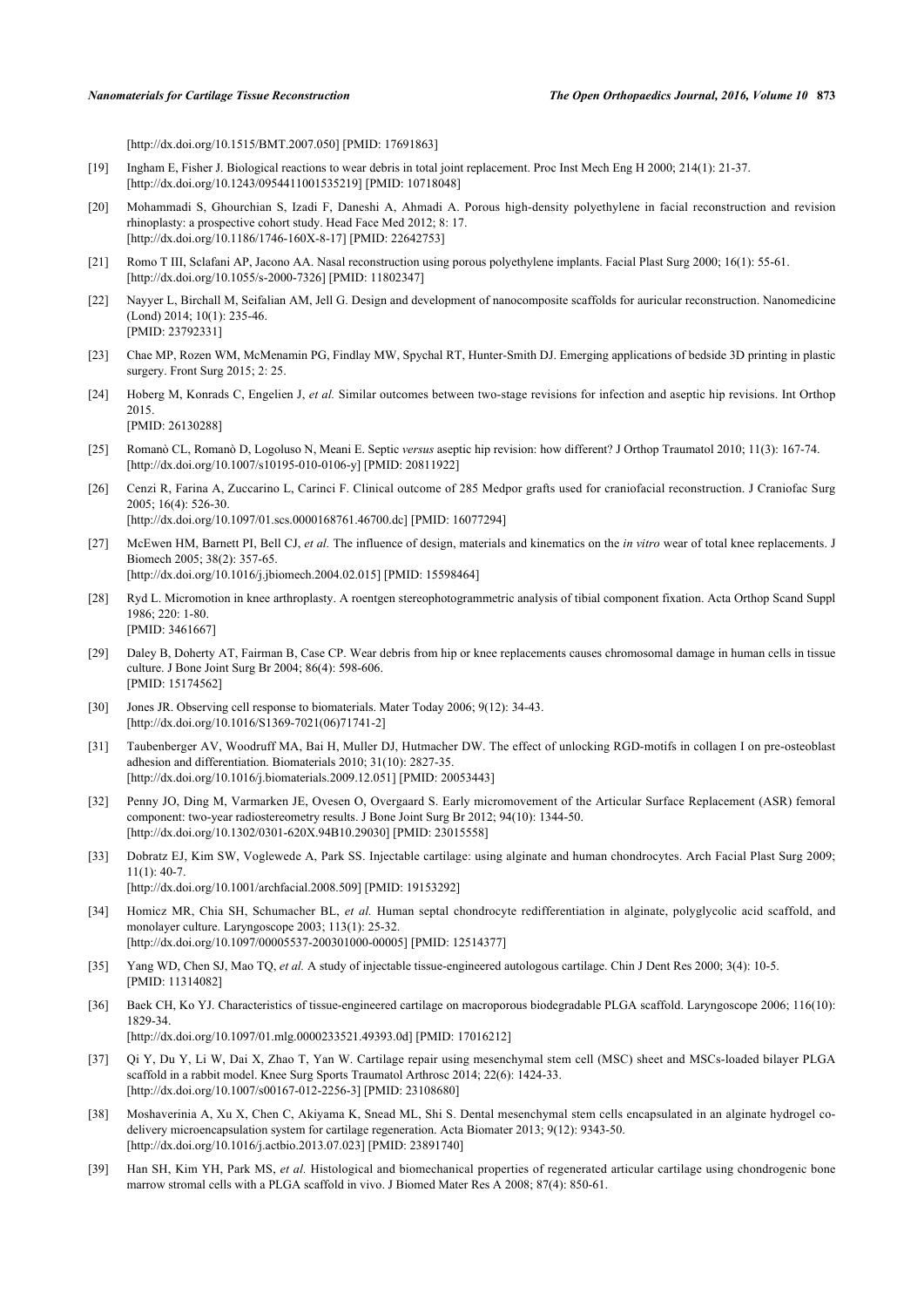[\[http://dx.doi.org/10.1515/BMT.2007.050](http://dx.doi.org/10.1515/BMT.2007.050)] [PMID: [17691863\]](http://www.ncbi.nlm.nih.gov/pubmed/17691863)

- <span id="page-11-0"></span>[19] Ingham E, Fisher J. Biological reactions to wear debris in total joint replacement. Proc Inst Mech Eng H 2000; 214(1): 21-37. [\[http://dx.doi.org/10.1243/0954411001535219\]](http://dx.doi.org/10.1243/0954411001535219) [PMID: [10718048](http://www.ncbi.nlm.nih.gov/pubmed/10718048)]
- <span id="page-11-1"></span>[20] Mohammadi S, Ghourchian S, Izadi F, Daneshi A, Ahmadi A. Porous high-density polyethylene in facial reconstruction and revision rhinoplasty: a prospective cohort study. Head Face Med 2012; 8: 17. [\[http://dx.doi.org/10.1186/1746-160X-8-17\]](http://dx.doi.org/10.1186/1746-160X-8-17) [PMID: [22642753](http://www.ncbi.nlm.nih.gov/pubmed/22642753)]
- <span id="page-11-2"></span>[21] Romo T III, Sclafani AP, Jacono AA. Nasal reconstruction using porous polyethylene implants. Facial Plast Surg 2000; 16(1): 55-61. [\[http://dx.doi.org/10.1055/s-2000-7326](http://dx.doi.org/10.1055/s-2000-7326)] [PMID: [11802347\]](http://www.ncbi.nlm.nih.gov/pubmed/11802347)
- <span id="page-11-3"></span>[22] Nayyer L, Birchall M, Seifalian AM, Jell G. Design and development of nanocomposite scaffolds for auricular reconstruction. Nanomedicine (Lond) 2014; 10(1): 235-46. [PMID: [23792331\]](http://www.ncbi.nlm.nih.gov/pubmed/23792331)
- <span id="page-11-4"></span>[23] Chae MP, Rozen WM, McMenamin PG, Findlay MW, Spychal RT, Hunter-Smith DJ. Emerging applications of bedside 3D printing in plastic surgery. Front Surg 2015; 2: 25.
- <span id="page-11-5"></span>[24] Hoberg M, Konrads C, Engelien J, *et al.* Similar outcomes between two-stage revisions for infection and aseptic hip revisions. Int Orthop 2015. [PMID: [26130288\]](http://www.ncbi.nlm.nih.gov/pubmed/26130288)
	-
- <span id="page-11-6"></span>[25] Romanò CL, Romanò D, Logoluso N, Meani E. Septic *versus* aseptic hip revision: how different? J Orthop Traumatol 2010; 11(3): 167-74. [\[http://dx.doi.org/10.1007/s10195-010-0106-y\]](http://dx.doi.org/10.1007/s10195-010-0106-y) [PMID: [20811922](http://www.ncbi.nlm.nih.gov/pubmed/20811922)]
- <span id="page-11-7"></span>[26] Cenzi R, Farina A, Zuccarino L, Carinci F. Clinical outcome of 285 Medpor grafts used for craniofacial reconstruction. J Craniofac Surg 2005; 16(4): 526-30. [\[http://dx.doi.org/10.1097/01.scs.0000168761.46700.dc](http://dx.doi.org/10.1097/01.scs.0000168761.46700.dc)] [PMID: [16077294\]](http://www.ncbi.nlm.nih.gov/pubmed/16077294)
- <span id="page-11-8"></span>[27] McEwen HM, Barnett PI, Bell CJ, *et al.* The influence of design, materials and kinematics on the *in vitro* wear of total knee replacements. J Biomech 2005; 38(2): 357-65. [\[http://dx.doi.org/10.1016/j.jbiomech.2004.02.015\]](http://dx.doi.org/10.1016/j.jbiomech.2004.02.015) [PMID: [15598464](http://www.ncbi.nlm.nih.gov/pubmed/15598464)]
- <span id="page-11-9"></span>[28] Ryd L. Micromotion in knee arthroplasty. A roentgen stereophotogrammetric analysis of tibial component fixation. Acta Orthop Scand Suppl 1986; 220: 1-80. [PMID: [3461667\]](http://www.ncbi.nlm.nih.gov/pubmed/3461667)
- <span id="page-11-10"></span>[29] Daley B, Doherty AT, Fairman B, Case CP. Wear debris from hip or knee replacements causes chromosomal damage in human cells in tissue culture. J Bone Joint Surg Br 2004; 86(4): 598-606. [PMID: [15174562\]](http://www.ncbi.nlm.nih.gov/pubmed/15174562)
- <span id="page-11-11"></span>[30] Jones JR. Observing cell response to biomaterials. Mater Today 2006; 9(12): 34-43. [\[http://dx.doi.org/10.1016/S1369-7021\(06\)71741-2\]](http://dx.doi.org/10.1016/S1369-7021(06)71741-2)
- <span id="page-11-12"></span>[31] Taubenberger AV, Woodruff MA, Bai H, Muller DJ, Hutmacher DW. The effect of unlocking RGD-motifs in collagen I on pre-osteoblast adhesion and differentiation. Biomaterials 2010; 31(10): 2827-35. [\[http://dx.doi.org/10.1016/j.biomaterials.2009.12.051\]](http://dx.doi.org/10.1016/j.biomaterials.2009.12.051) [PMID: [20053443](http://www.ncbi.nlm.nih.gov/pubmed/20053443)]
- <span id="page-11-13"></span>[32] Penny JO, Ding M, Varmarken JE, Ovesen O, Overgaard S. Early micromovement of the Articular Surface Replacement (ASR) femoral component: two-year radiostereometry results. J Bone Joint Surg Br 2012; 94(10): 1344-50. [\[http://dx.doi.org/10.1302/0301-620X.94B10.29030\]](http://dx.doi.org/10.1302/0301-620X.94B10.29030) [PMID: [23015558](http://www.ncbi.nlm.nih.gov/pubmed/23015558)]
- <span id="page-11-14"></span>[33] Dobratz EJ, Kim SW, Voglewede A, Park SS. Injectable cartilage: using alginate and human chondrocytes. Arch Facial Plast Surg 2009; 11(1): 40-7. [\[http://dx.doi.org/10.1001/archfacial.2008.509](http://dx.doi.org/10.1001/archfacial.2008.509)] [PMID: [19153292\]](http://www.ncbi.nlm.nih.gov/pubmed/19153292)
- [34] Homicz MR, Chia SH, Schumacher BL, *et al.* Human septal chondrocyte redifferentiation in alginate, polyglycolic acid scaffold, and monolayer culture. Laryngoscope 2003; 113(1): 25-32. [\[http://dx.doi.org/10.1097/00005537-200301000-00005](http://dx.doi.org/10.1097/00005537-200301000-00005)] [PMID: [12514377\]](http://www.ncbi.nlm.nih.gov/pubmed/12514377)
- [35] Yang WD, Chen SJ, Mao TQ, *et al.* A study of injectable tissue-engineered autologous cartilage. Chin J Dent Res 2000; 3(4): 10-5. [PMID: [11314082\]](http://www.ncbi.nlm.nih.gov/pubmed/11314082)
- <span id="page-11-15"></span>[36] Baek CH, Ko YJ. Characteristics of tissue-engineered cartilage on macroporous biodegradable PLGA scaffold. Laryngoscope 2006; 116(10): 1829-34.
	- [\[http://dx.doi.org/10.1097/01.mlg.0000233521.49393.0d](http://dx.doi.org/10.1097/01.mlg.0000233521.49393.0d)] [PMID: [17016212\]](http://www.ncbi.nlm.nih.gov/pubmed/17016212)
- <span id="page-11-16"></span>[37] Qi Y, Du Y, Li W, Dai X, Zhao T, Yan W. Cartilage repair using mesenchymal stem cell (MSC) sheet and MSCs-loaded bilayer PLGA scaffold in a rabbit model. Knee Surg Sports Traumatol Arthrosc 2014; 22(6): 1424-33. [\[http://dx.doi.org/10.1007/s00167-012-2256-3\]](http://dx.doi.org/10.1007/s00167-012-2256-3) [PMID: [23108680](http://www.ncbi.nlm.nih.gov/pubmed/23108680)]
- [38] Moshaverinia A, Xu X, Chen C, Akiyama K, Snead ML, Shi S. Dental mesenchymal stem cells encapsulated in an alginate hydrogel codelivery microencapsulation system for cartilage regeneration. Acta Biomater 2013; 9(12): 9343-50. [\[http://dx.doi.org/10.1016/j.actbio.2013.07.023\]](http://dx.doi.org/10.1016/j.actbio.2013.07.023) [PMID: [23891740](http://www.ncbi.nlm.nih.gov/pubmed/23891740)]
- <span id="page-11-17"></span>[39] Han SH, Kim YH, Park MS, et al. Histological and biomechanical properties of regenerated articular cartilage using chondrogenic bone marrow stromal cells with a PLGA scaffold in vivo. J Biomed Mater Res A 2008; 87(4): 850-61.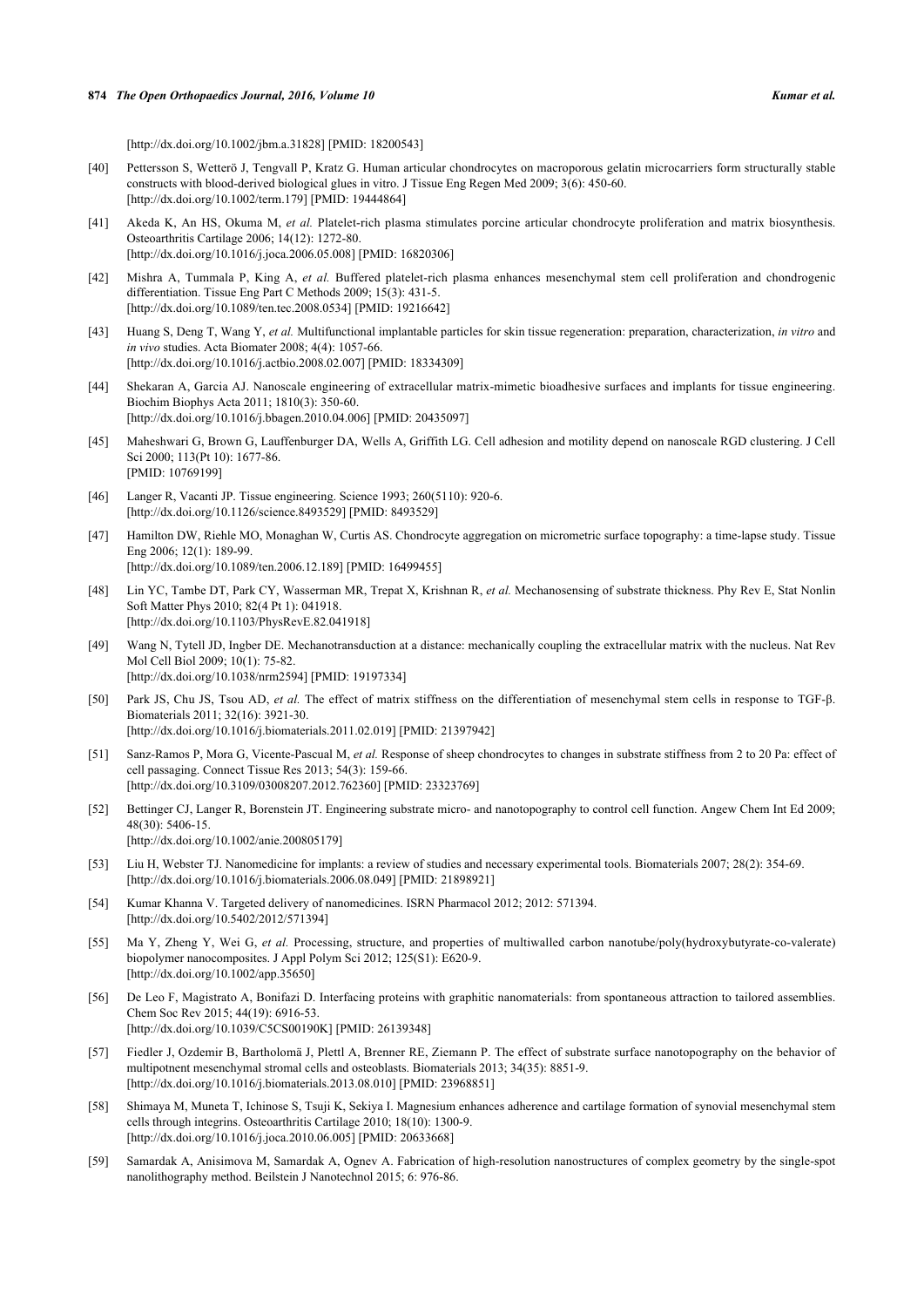[\[http://dx.doi.org/10.1002/jbm.a.31828\]](http://dx.doi.org/10.1002/jbm.a.31828) [PMID: [18200543](http://www.ncbi.nlm.nih.gov/pubmed/18200543)]

- <span id="page-12-0"></span>[40] Pettersson S, Wetterö J, Tengvall P, Kratz G. Human articular chondrocytes on macroporous gelatin microcarriers form structurally stable constructs with blood-derived biological glues in vitro. J Tissue Eng Regen Med 2009; 3(6): 450-60. [\[http://dx.doi.org/10.1002/term.179](http://dx.doi.org/10.1002/term.179)] [PMID: [19444864](http://www.ncbi.nlm.nih.gov/pubmed/19444864)]
- [41] Akeda K, An HS, Okuma M, *et al.* Platelet-rich plasma stimulates porcine articular chondrocyte proliferation and matrix biosynthesis. Osteoarthritis Cartilage 2006; 14(12): 1272-80. [\[http://dx.doi.org/10.1016/j.joca.2006.05.008](http://dx.doi.org/10.1016/j.joca.2006.05.008)] [PMID: [16820306\]](http://www.ncbi.nlm.nih.gov/pubmed/16820306)
- <span id="page-12-1"></span>[42] Mishra A, Tummala P, King A, *et al.* Buffered platelet-rich plasma enhances mesenchymal stem cell proliferation and chondrogenic differentiation. Tissue Eng Part C Methods 2009; 15(3): 431-5. [\[http://dx.doi.org/10.1089/ten.tec.2008.0534\]](http://dx.doi.org/10.1089/ten.tec.2008.0534) [PMID: [19216642](http://www.ncbi.nlm.nih.gov/pubmed/19216642)]
- <span id="page-12-2"></span>[43] Huang S, Deng T, Wang Y, *et al.* Multifunctional implantable particles for skin tissue regeneration: preparation, characterization, *in vitro* and *in vivo* studies. Acta Biomater 2008; 4(4): 1057-66. [\[http://dx.doi.org/10.1016/j.actbio.2008.02.007\]](http://dx.doi.org/10.1016/j.actbio.2008.02.007) [PMID: [18334309](http://www.ncbi.nlm.nih.gov/pubmed/18334309)]
- <span id="page-12-3"></span>[44] Shekaran A, Garcia AJ. Nanoscale engineering of extracellular matrix-mimetic bioadhesive surfaces and implants for tissue engineering. Biochim Biophys Acta 2011; 1810(3): 350-60. [\[http://dx.doi.org/10.1016/j.bbagen.2010.04.006](http://dx.doi.org/10.1016/j.bbagen.2010.04.006)] [PMID: [20435097\]](http://www.ncbi.nlm.nih.gov/pubmed/20435097)
- <span id="page-12-4"></span>[45] Maheshwari G, Brown G, Lauffenburger DA, Wells A, Griffith LG. Cell adhesion and motility depend on nanoscale RGD clustering. J Cell Sci 2000; 113(Pt 10): 1677-86. [PMID: [10769199\]](http://www.ncbi.nlm.nih.gov/pubmed/10769199)
- <span id="page-12-5"></span>[46] Langer R, Vacanti JP. Tissue engineering. Science 1993; 260(5110): 920-6. [\[http://dx.doi.org/10.1126/science.8493529](http://dx.doi.org/10.1126/science.8493529)] [PMID: [8493529\]](http://www.ncbi.nlm.nih.gov/pubmed/8493529)
- <span id="page-12-6"></span>[47] Hamilton DW, Riehle MO, Monaghan W, Curtis AS. Chondrocyte aggregation on micrometric surface topography: a time-lapse study. Tissue Eng 2006; 12(1): 189-99. [\[http://dx.doi.org/10.1089/ten.2006.12.189\]](http://dx.doi.org/10.1089/ten.2006.12.189) [PMID: [16499455](http://www.ncbi.nlm.nih.gov/pubmed/16499455)]
- <span id="page-12-7"></span>[48] Lin YC, Tambe DT, Park CY, Wasserman MR, Trepat X, Krishnan R, *et al.* Mechanosensing of substrate thickness. Phy Rev E, Stat Nonlin Soft Matter Phys 2010; 82(4 Pt 1): 041918. [\[http://dx.doi.org/10.1103/PhysRevE.82.041918](http://dx.doi.org/10.1103/PhysRevE.82.041918)]
- <span id="page-12-8"></span>[49] Wang N, Tytell JD, Ingber DE. Mechanotransduction at a distance: mechanically coupling the extracellular matrix with the nucleus. Nat Rev Mol Cell Biol 2009; 10(1): 75-82. [\[http://dx.doi.org/10.1038/nrm2594\]](http://dx.doi.org/10.1038/nrm2594) [PMID: [19197334](http://www.ncbi.nlm.nih.gov/pubmed/19197334)]
- <span id="page-12-9"></span>[50] Park JS, Chu JS, Tsou AD, *et al.* The effect of matrix stiffness on the differentiation of mesenchymal stem cells in response to TGF-β. Biomaterials 2011; 32(16): 3921-30. [\[http://dx.doi.org/10.1016/j.biomaterials.2011.02.019\]](http://dx.doi.org/10.1016/j.biomaterials.2011.02.019) [PMID: [21397942](http://www.ncbi.nlm.nih.gov/pubmed/21397942)]
- <span id="page-12-10"></span>[51] Sanz-Ramos P, Mora G, Vicente-Pascual M, *et al.* Response of sheep chondrocytes to changes in substrate stiffness from 2 to 20 Pa: effect of cell passaging. Connect Tissue Res 2013; 54(3): 159-66. [\[http://dx.doi.org/10.3109/03008207.2012.762360\]](http://dx.doi.org/10.3109/03008207.2012.762360) [PMID: [23323769](http://www.ncbi.nlm.nih.gov/pubmed/23323769)]
- <span id="page-12-11"></span>[52] Bettinger CJ, Langer R, Borenstein JT. Engineering substrate micro- and nanotopography to control cell function. Angew Chem Int Ed 2009; 48(30): 5406-15.

[\[http://dx.doi.org/10.1002/anie.200805179](http://dx.doi.org/10.1002/anie.200805179)]

- <span id="page-12-12"></span>[53] Liu H, Webster TJ. Nanomedicine for implants: a review of studies and necessary experimental tools. Biomaterials 2007; 28(2): 354-69. [\[http://dx.doi.org/10.1016/j.biomaterials.2006.08.049\]](http://dx.doi.org/10.1016/j.biomaterials.2006.08.049) [PMID: [21898921](http://www.ncbi.nlm.nih.gov/pubmed/21898921)]
- <span id="page-12-13"></span>[54] Kumar Khanna V. Targeted delivery of nanomedicines. ISRN Pharmacol 2012; 2012: 571394. [\[http://dx.doi.org/10.5402/2012/571394](http://dx.doi.org/10.5402/2012/571394)]
- <span id="page-12-14"></span>[55] Ma Y, Zheng Y, Wei G, *et al.* Processing, structure, and properties of multiwalled carbon nanotube/poly(hydroxybutyrate-co-valerate) biopolymer nanocomposites. J Appl Polym Sci 2012; 125(S1): E620-9. [\[http://dx.doi.org/10.1002/app.35650](http://dx.doi.org/10.1002/app.35650)]
- <span id="page-12-15"></span>[56] De Leo F, Magistrato A, Bonifazi D. Interfacing proteins with graphitic nanomaterials: from spontaneous attraction to tailored assemblies. Chem Soc Rev 2015; 44(19): 6916-53. [\[http://dx.doi.org/10.1039/C5CS00190K\]](http://dx.doi.org/10.1039/C5CS00190K) [PMID: [26139348](http://www.ncbi.nlm.nih.gov/pubmed/26139348)]
- <span id="page-12-16"></span>[57] Fiedler J, Ozdemir B, Bartholomä J, Plettl A, Brenner RE, Ziemann P. The effect of substrate surface nanotopography on the behavior of multipotnent mesenchymal stromal cells and osteoblasts. Biomaterials 2013; 34(35): 8851-9. [\[http://dx.doi.org/10.1016/j.biomaterials.2013.08.010\]](http://dx.doi.org/10.1016/j.biomaterials.2013.08.010) [PMID: [23968851](http://www.ncbi.nlm.nih.gov/pubmed/23968851)]
- <span id="page-12-17"></span>[58] Shimaya M, Muneta T, Ichinose S, Tsuji K, Sekiya I. Magnesium enhances adherence and cartilage formation of synovial mesenchymal stem cells through integrins. Osteoarthritis Cartilage 2010; 18(10): 1300-9. [\[http://dx.doi.org/10.1016/j.joca.2010.06.005](http://dx.doi.org/10.1016/j.joca.2010.06.005)] [PMID: [20633668\]](http://www.ncbi.nlm.nih.gov/pubmed/20633668)
- <span id="page-12-18"></span>[59] Samardak A, Anisimova M, Samardak A, Ognev A. Fabrication of high-resolution nanostructures of complex geometry by the single-spot nanolithography method. Beilstein J Nanotechnol 2015; 6: 976-86.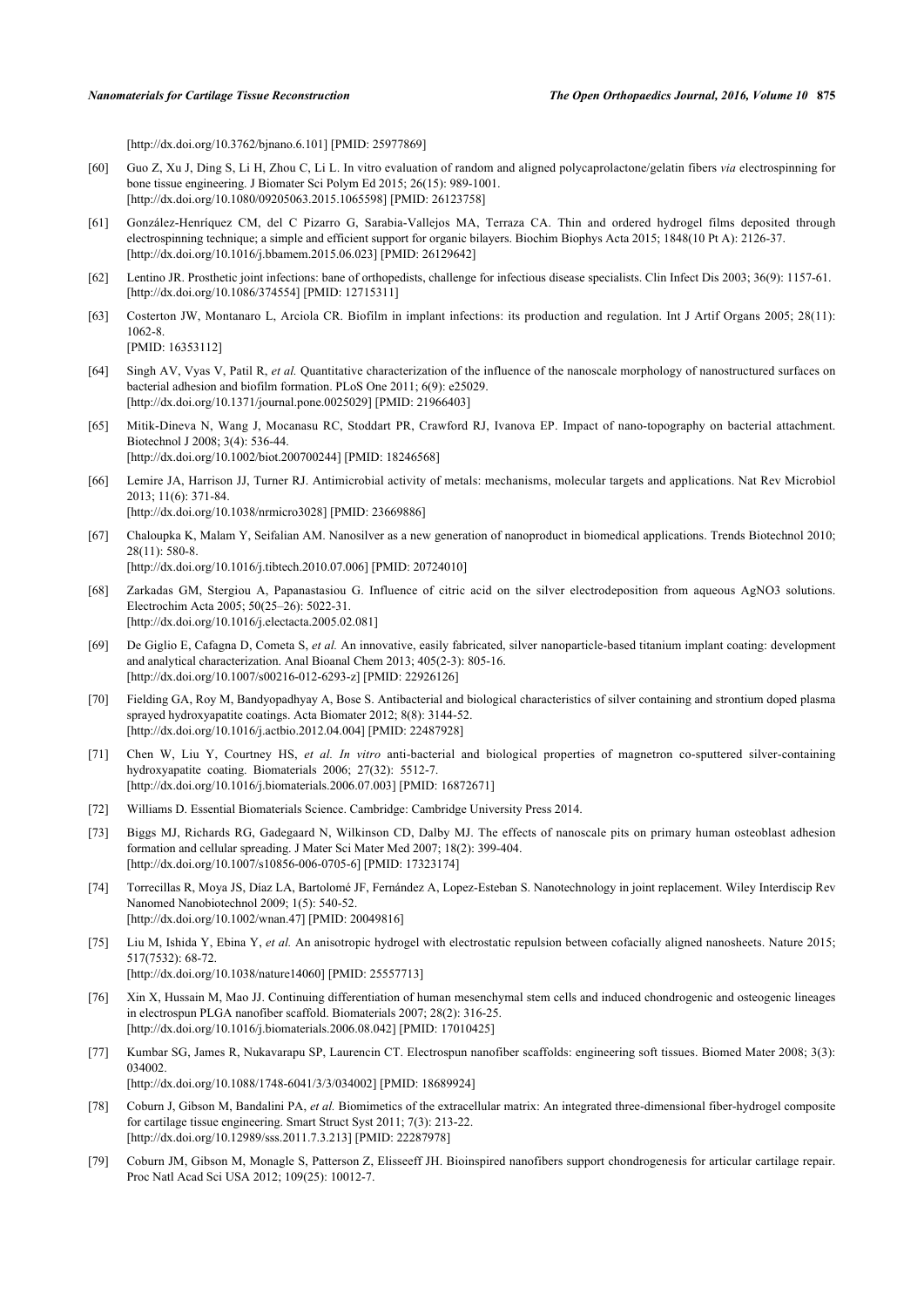[\[http://dx.doi.org/10.3762/bjnano.6.101\]](http://dx.doi.org/10.3762/bjnano.6.101) [PMID: [25977869](http://www.ncbi.nlm.nih.gov/pubmed/25977869)]

- [60] Guo Z, Xu J, Ding S, Li H, Zhou C, Li L. In vitro evaluation of random and aligned polycaprolactone/gelatin fibers *via* electrospinning for bone tissue engineering. J Biomater Sci Polym Ed 2015; 26(15): 989-1001. [\[http://dx.doi.org/10.1080/09205063.2015.1065598\]](http://dx.doi.org/10.1080/09205063.2015.1065598) [PMID: [26123758](http://www.ncbi.nlm.nih.gov/pubmed/26123758)]
- <span id="page-13-0"></span>[61] González-Henríquez CM, del C Pizarro G, Sarabia-Vallejos MA, Terraza CA. Thin and ordered hydrogel films deposited through electrospinning technique; a simple and efficient support for organic bilayers. Biochim Biophys Acta 2015; 1848(10 Pt A): 2126-37. [\[http://dx.doi.org/10.1016/j.bbamem.2015.06.023\]](http://dx.doi.org/10.1016/j.bbamem.2015.06.023) [PMID: [26129642](http://www.ncbi.nlm.nih.gov/pubmed/26129642)]
- <span id="page-13-1"></span>[62] Lentino JR. Prosthetic joint infections: bane of orthopedists, challenge for infectious disease specialists. Clin Infect Dis 2003; 36(9): 1157-61. [\[http://dx.doi.org/10.1086/374554\]](http://dx.doi.org/10.1086/374554) [PMID: [12715311](http://www.ncbi.nlm.nih.gov/pubmed/12715311)]
- <span id="page-13-2"></span>[63] Costerton JW, Montanaro L, Arciola CR. Biofilm in implant infections: its production and regulation. Int J Artif Organs 2005; 28(11): 1062-8.

```
[PMID: 16353112]
```
- <span id="page-13-3"></span>[64] Singh AV, Vyas V, Patil R, *et al.* Quantitative characterization of the influence of the nanoscale morphology of nanostructured surfaces on bacterial adhesion and biofilm formation. PLoS One 2011; 6(9): e25029. [\[http://dx.doi.org/10.1371/journal.pone.0025029](http://dx.doi.org/10.1371/journal.pone.0025029)] [PMID: [21966403\]](http://www.ncbi.nlm.nih.gov/pubmed/21966403)
- <span id="page-13-4"></span>[65] Mitik-Dineva N, Wang J, Mocanasu RC, Stoddart PR, Crawford RJ, Ivanova EP. Impact of nano-topography on bacterial attachment. Biotechnol J 2008; 3(4): 536-44. [\[http://dx.doi.org/10.1002/biot.200700244](http://dx.doi.org/10.1002/biot.200700244)] [PMID: [18246568\]](http://www.ncbi.nlm.nih.gov/pubmed/18246568)
- <span id="page-13-5"></span>[66] Lemire JA, Harrison JJ, Turner RJ. Antimicrobial activity of metals: mechanisms, molecular targets and applications. Nat Rev Microbiol 2013; 11(6): 371-84. [\[http://dx.doi.org/10.1038/nrmicro3028](http://dx.doi.org/10.1038/nrmicro3028)] [PMID: [23669886\]](http://www.ncbi.nlm.nih.gov/pubmed/23669886)
- <span id="page-13-6"></span>[67] Chaloupka K, Malam Y, Seifalian AM. Nanosilver as a new generation of nanoproduct in biomedical applications. Trends Biotechnol 2010; 28(11): 580-8. [\[http://dx.doi.org/10.1016/j.tibtech.2010.07.006\]](http://dx.doi.org/10.1016/j.tibtech.2010.07.006) [PMID: [20724010](http://www.ncbi.nlm.nih.gov/pubmed/20724010)]
- <span id="page-13-7"></span>[68] Zarkadas GM, Stergiou A, Papanastasiou G. Influence of citric acid on the silver electrodeposition from aqueous AgNO3 solutions. Electrochim Acta 2005; 50(25–26): 5022-31. [\[http://dx.doi.org/10.1016/j.electacta.2005.02.081](http://dx.doi.org/10.1016/j.electacta.2005.02.081)]
- <span id="page-13-8"></span>[69] De Giglio E, Cafagna D, Cometa S, *et al.* An innovative, easily fabricated, silver nanoparticle-based titanium implant coating: development and analytical characterization. Anal Bioanal Chem 2013; 405(2-3): 805-16. [\[http://dx.doi.org/10.1007/s00216-012-6293-z](http://dx.doi.org/10.1007/s00216-012-6293-z)] [PMID: [22926126](http://www.ncbi.nlm.nih.gov/pubmed/22926126)]
- <span id="page-13-9"></span>[70] Fielding GA, Roy M, Bandyopadhyay A, Bose S. Antibacterial and biological characteristics of silver containing and strontium doped plasma sprayed hydroxyapatite coatings. Acta Biomater 2012; 8(8): 3144-52. [\[http://dx.doi.org/10.1016/j.actbio.2012.04.004\]](http://dx.doi.org/10.1016/j.actbio.2012.04.004) [PMID: [22487928](http://www.ncbi.nlm.nih.gov/pubmed/22487928)]
- <span id="page-13-10"></span>[71] Chen W, Liu Y, Courtney HS, *et al. In vitro* anti-bacterial and biological properties of magnetron co-sputtered silver-containing hydroxyapatite coating. Biomaterials 2006; 27(32): 5512-7. [\[http://dx.doi.org/10.1016/j.biomaterials.2006.07.003\]](http://dx.doi.org/10.1016/j.biomaterials.2006.07.003) [PMID: [16872671](http://www.ncbi.nlm.nih.gov/pubmed/16872671)]
- <span id="page-13-11"></span>[72] Williams D. Essential Biomaterials Science. Cambridge: Cambridge University Press 2014.
- <span id="page-13-12"></span>[73] Biggs MJ, Richards RG, Gadegaard N, Wilkinson CD, Dalby MJ. The effects of nanoscale pits on primary human osteoblast adhesion formation and cellular spreading. J Mater Sci Mater Med 2007; 18(2): 399-404. [\[http://dx.doi.org/10.1007/s10856-006-0705-6\]](http://dx.doi.org/10.1007/s10856-006-0705-6) [PMID: [17323174](http://www.ncbi.nlm.nih.gov/pubmed/17323174)]
- <span id="page-13-13"></span>[74] Torrecillas R, Moya JS, Díaz LA, Bartolomé JF, Fernández A, Lopez-Esteban S. Nanotechnology in joint replacement. Wiley Interdiscip Rev Nanomed Nanobiotechnol 2009; 1(5): 540-52. [\[http://dx.doi.org/10.1002/wnan.47](http://dx.doi.org/10.1002/wnan.47)] [PMID: [20049816\]](http://www.ncbi.nlm.nih.gov/pubmed/20049816)
- <span id="page-13-14"></span>[75] Liu M, Ishida Y, Ebina Y, *et al.* An anisotropic hydrogel with electrostatic repulsion between cofacially aligned nanosheets. Nature 2015; 517(7532): 68-72. [\[http://dx.doi.org/10.1038/nature14060\]](http://dx.doi.org/10.1038/nature14060) [PMID: [25557713](http://www.ncbi.nlm.nih.gov/pubmed/25557713)]
- <span id="page-13-15"></span>[76] Xin X, Hussain M, Mao JJ. Continuing differentiation of human mesenchymal stem cells and induced chondrogenic and osteogenic lineages in electrospun PLGA nanofiber scaffold. Biomaterials 2007; 28(2): 316-25. [\[http://dx.doi.org/10.1016/j.biomaterials.2006.08.042\]](http://dx.doi.org/10.1016/j.biomaterials.2006.08.042) [PMID: [17010425](http://www.ncbi.nlm.nih.gov/pubmed/17010425)]
- <span id="page-13-16"></span>[77] Kumbar SG, James R, Nukavarapu SP, Laurencin CT. Electrospun nanofiber scaffolds: engineering soft tissues. Biomed Mater 2008; 3(3): 034002 [\[http://dx.doi.org/10.1088/1748-6041/3/3/034002](http://dx.doi.org/10.1088/1748-6041/3/3/034002)] [PMID: [18689924\]](http://www.ncbi.nlm.nih.gov/pubmed/18689924)
- <span id="page-13-17"></span>[78] Coburn J, Gibson M, Bandalini PA, *et al.* Biomimetics of the extracellular matrix: An integrated three-dimensional fiber-hydrogel composite for cartilage tissue engineering. Smart Struct Syst 2011; 7(3): 213-22. [\[http://dx.doi.org/10.12989/sss.2011.7.3.213](http://dx.doi.org/10.12989/sss.2011.7.3.213)] [PMID: [22287978\]](http://www.ncbi.nlm.nih.gov/pubmed/22287978)
- <span id="page-13-18"></span>[79] Coburn JM, Gibson M, Monagle S, Patterson Z, Elisseeff JH. Bioinspired nanofibers support chondrogenesis for articular cartilage repair. Proc Natl Acad Sci USA 2012; 109(25): 10012-7.